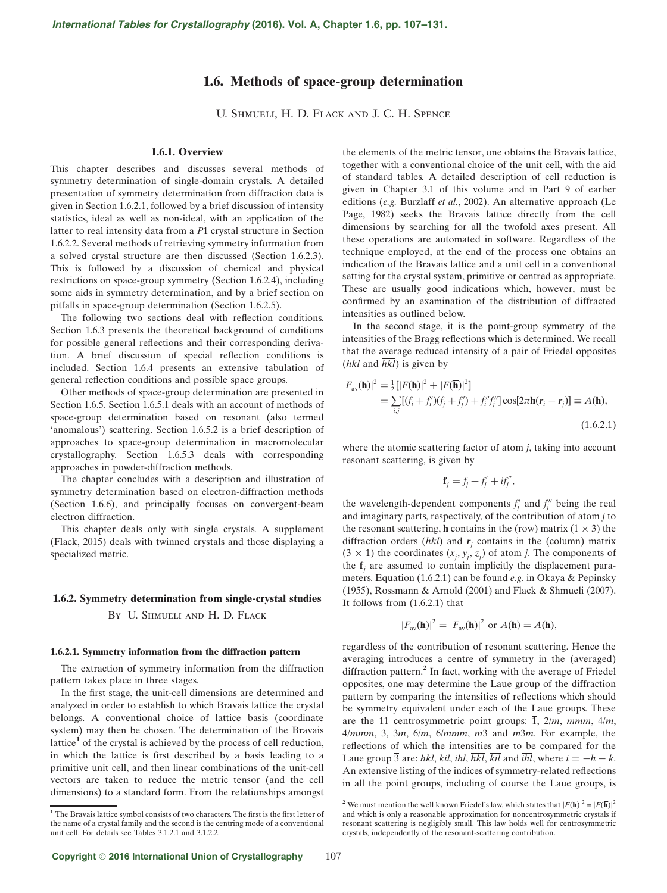# 1.6. Methods of space-group determination

U. Shmueli, H. D. Flack and J. C. H. Spence

## 1.6.1. Overview

This chapter describes and discusses several methods of symmetry determination of single-domain crystals. A detailed presentation of symmetry determination from diffraction data is given in Section 1.6.2.1, followed by a brief discussion of intensity statistics, ideal as well as non-ideal, with an application of the latter to real intensity data from a  $\overline{P1}$  crystal structure in Section 1.6.2.2. Several methods of retrieving symmetry information from a solved crystal structure are then discussed (Section 1.6.2.3). This is followed by a discussion of chemical and physical restrictions on space-group symmetry (Section 1.6.2.4), including some aids in symmetry determination, and by a brief section on pitfalls in space-group determination (Section 1.6.2.5).

The following two sections deal with reflection conditions. Section 1.6.3 presents the theoretical background of conditions for possible general reflections and their corresponding derivation. A brief discussion of special reflection conditions is included. Section 1.6.4 presents an extensive tabulation of general reflection conditions and possible space groups.

Other methods of space-group determination are presented in Section 1.6.5. Section 1.6.5.1 deals with an account of methods of space-group determination based on resonant (also termed 'anomalous') scattering. Section 1.6.5.2 is a brief description of approaches to space-group determination in macromolecular crystallography. Section 1.6.5.3 deals with corresponding approaches in powder-diffraction methods.

The chapter concludes with a description and illustration of symmetry determination based on electron-diffraction methods (Section 1.6.6), and principally focuses on convergent-beam electron diffraction.

This chapter deals only with single crystals. A supplement (Flack, 2015) deals with twinned crystals and those displaying a specialized metric.

## 1.6.2. Symmetry determination from single-crystal studies

BY U. SHMUELI AND H. D. FLACK

## 1.6.2.1. Symmetry information from the diffraction pattern

The extraction of symmetry information from the diffraction pattern takes place in three stages.

In the first stage, the unit-cell dimensions are determined and analyzed in order to establish to which Bravais lattice the crystal belongs. A conventional choice of lattice basis (coordinate system) may then be chosen. The determination of the Bravais lattice<sup>1</sup> of the crystal is achieved by the process of cell reduction, in which the lattice is first described by a basis leading to a primitive unit cell, and then linear combinations of the unit-cell vectors are taken to reduce the metric tensor (and the cell dimensions) to a standard form. From the relationships amongst

the elements of the metric tensor, one obtains the Bravais lattice, together with a conventional choice of the unit cell, with the aid of standard tables. A detailed description of cell reduction is given in Chapter 3.1 of this volume and in Part 9 of earlier editions (e.g. Burzlaff et al., 2002). An alternative approach (Le Page, 1982) seeks the Bravais lattice directly from the cell dimensions by searching for all the twofold axes present. All these operations are automated in software. Regardless of the technique employed, at the end of the process one obtains an indication of the Bravais lattice and a unit cell in a conventional setting for the crystal system, primitive or centred as appropriate. These are usually good indications which, however, must be confirmed by an examination of the distribution of diffracted intensities as outlined below.

In the second stage, it is the point-group symmetry of the intensities of the Bragg reflections which is determined. We recall that the average reduced intensity of a pair of Friedel opposites (*hkl* and  $\overline{hkl}$ ) is given by

$$
|F_{av}(\mathbf{h})|^2 = \frac{1}{2} [|F(\mathbf{h})|^2 + |F(\overline{\mathbf{h}})|^2]
$$
  
= 
$$
\sum_{i,j} [(f_i + f'_i)(f_j + f'_j) + f''_i f''_j] \cos[2\pi \mathbf{h} (\mathbf{r}_i - \mathbf{r}_j)] \equiv A(\mathbf{h}),
$$
  
(1.6.2.1)

where the atomic scattering factor of atom  $j$ , taking into account resonant scattering, is given by

$$
\mathbf{f}_j = f_j + f'_j + i f''_j,
$$

the wavelength-dependent components  $f_j'$  and  $f_j''$  being the real and imaginary parts, respectively, of the contribution of atom j to the resonant scattering, **h** contains in the (row) matrix  $(1 \times 3)$  the diffraction orders  $(hkl)$  and  $r_i$  contains in the (column) matrix  $(3 \times 1)$  the coordinates  $(x_j, y_j, z_j)$  of atom *j*. The components of the  $f_i$  are assumed to contain implicitly the displacement parameters. Equation (1.6.2.1) can be found e.g. in Okaya & Pepinsky (1955), Rossmann & Arnold (2001) and Flack & Shmueli (2007). It follows from (1.6.2.1) that

$$
|F_{\text{av}}(\mathbf{h})|^2 = |F_{\text{av}}(\overline{\mathbf{h}})|^2 \text{ or } A(\mathbf{h}) = A(\overline{\mathbf{h}}),
$$

regardless of the contribution of resonant scattering. Hence the averaging introduces a centre of symmetry in the (averaged) diffraction pattern.<sup>2</sup> In fact, working with the average of Friedel opposites, one may determine the Laue group of the diffraction pattern by comparing the intensities of reflections which should be symmetry equivalent under each of the Laue groups. These are the 11 centrosymmetric point groups:  $\overline{1}$ ,  $2/m$ , mmm,  $4/m$ ,  $4/mmm$ ,  $\overline{3}$ ,  $\overline{3}m$ ,  $6/m$ ,  $6/mmm$ ,  $m\overline{3}$  and  $m\overline{3}m$ . For example, the reflections of which the intensities are to be compared for the Laue group  $\overline{3}$  are: hkl, kil, ihl,  $\overline{hkl}$ ,  $\overline{kil}$  and  $\overline{ihl}$ , where  $i = -h - k$ . An extensive listing of the indices of symmetry-related reflections in all the point groups, including of course the Laue groups, is

<sup>1</sup> The Bravais lattice symbol consists of two characters. The first is the first letter of the name of a crystal family and the second is the centring mode of a conventional unit cell. For details see Tables 3.1.2.1 and 3.1.2.2.

<sup>&</sup>lt;sup>2</sup> We must mention the well known Friedel's law, which states that  $|F(\mathbf{h})|^2 = |F(\overline{\mathbf{h}})|^2$ and which is only a reasonable approximation for noncentrosymmetric crystals if resonant scattering is negligibly small. This law holds well for centrosymmetric crystals, independently of the resonant-scattering contribution.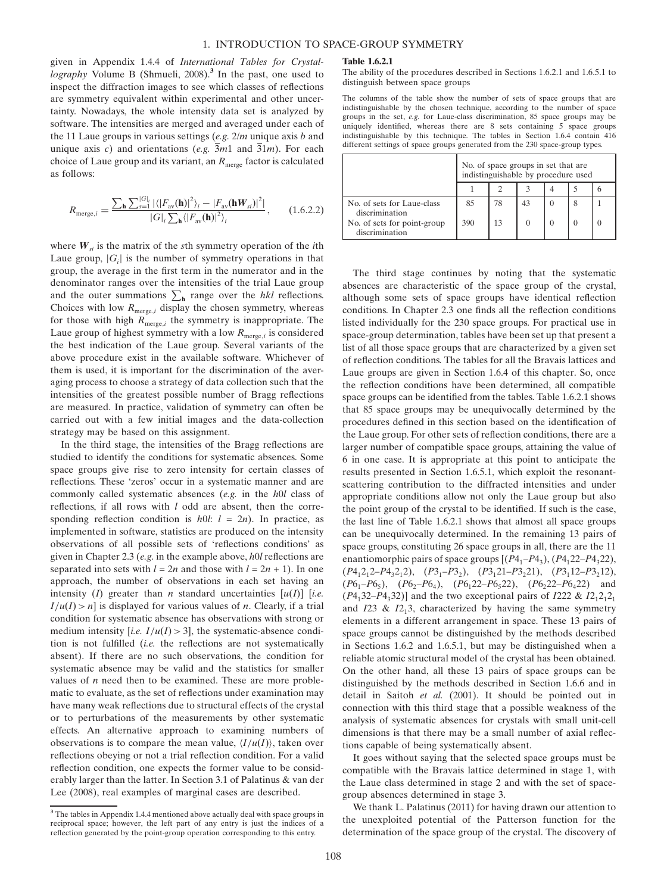given in Appendix 1.4.4 of International Tables for Crystal*lography* Volume B (Shmueli, 2008).<sup>3</sup> In the past, one used to inspect the diffraction images to see which classes of reflections are symmetry equivalent within experimental and other uncertainty. Nowadays, the whole intensity data set is analyzed by software. The intensities are merged and averaged under each of the 11 Laue groups in various settings  $(e.g. 2/m)$  unique axis b and unique axis c) and orientations (e.g.  $\overline{3}m1$  and  $\overline{3}1m$ ). For each choice of Laue group and its variant, an  $R_{\text{merge}}$  factor is calculated as follows:

$$
R_{\text{merge},i} = \frac{\sum_{\mathbf{h}} \sum_{s=1}^{|G|_i} |\langle |F_{\text{av}}(\mathbf{h})|^2 \rangle_i - |F_{\text{av}}(\mathbf{h}W_{si})|^2|}{|G|_i \sum_{\mathbf{h}} \langle |F_{\text{av}}(\mathbf{h})|^2 \rangle_i},\qquad(1.6.2.2)
$$

where  $W_{si}$  is the matrix of the sth symmetry operation of the *i*th Laue group,  $|G_i|$  is the number of symmetry operations in that group, the average in the first term in the numerator and in the denominator ranges over the intensities of the trial Laue group and the outer summations  $\sum_{h}$  range over the hkl reflections. Choices with low  $R_{\text{merge},i}$  display the chosen symmetry, whereas for those with high  $R_{\text{merge},i}$  the symmetry is inappropriate. The Laue group of highest symmetry with a low  $R_{\text{merge},i}$  is considered the best indication of the Laue group. Several variants of the above procedure exist in the available software. Whichever of them is used, it is important for the discrimination of the averaging process to choose a strategy of data collection such that the intensities of the greatest possible number of Bragg reflections are measured. In practice, validation of symmetry can often be carried out with a few initial images and the data-collection strategy may be based on this assignment.

In the third stage, the intensities of the Bragg reflections are studied to identify the conditions for systematic absences. Some space groups give rise to zero intensity for certain classes of reflections. These 'zeros' occur in a systematic manner and are commonly called systematic absences (e.g. in the h0l class of reflections, if all rows with  $l$  odd are absent, then the corresponding reflection condition is  $h0l$ :  $l = 2n$ ). In practice, as implemented in software, statistics are produced on the intensity observations of all possible sets of 'reflections conditions' as given in Chapter 2.3 (e.g. in the example above,  $h0l$  reflections are separated into sets with  $l = 2n$  and those with  $l = 2n + 1$ ). In one approach, the number of observations in each set having an intensity (I) greater than *n* standard uncertainties  $[u(I)]$  [i.e.  $I/u(I) > n$ ] is displayed for various values of n. Clearly, if a trial condition for systematic absence has observations with strong or medium intensity [i.e.  $I/u(I) > 3$ ], the systematic-absence condition is not fulfilled (i.e. the reflections are not systematically absent). If there are no such observations, the condition for systematic absence may be valid and the statistics for smaller values of  $n$  need then to be examined. These are more problematic to evaluate, as the set of reflections under examination may have many weak reflections due to structural effects of the crystal or to perturbations of the measurements by other systematic effects. An alternative approach to examining numbers of observations is to compare the mean value,  $\langle I/u(I) \rangle$ , taken over reflections obeying or not a trial reflection condition. For a valid reflection condition, one expects the former value to be considerably larger than the latter. In Section 3.1 of Palatinus & van der Lee (2008), real examples of marginal cases are described.

### Table 1.6.2.1

The ability of the procedures described in Sections 1.6.2.1 and 1.6.5.1 to distinguish between space groups

The columns of the table show the number of sets of space groups that are indistinguishable by the chosen technique, according to the number of space groups in the set, e.g. for Laue-class discrimination, 85 space groups may be uniquely identified, whereas there are 8 sets containing 5 space groups indistinguishable by this technique. The tables in Section 1.6.4 contain 416 different settings of space groups generated from the 230 space-group types.

|                                               |     |    | No. of space groups in set that are<br>indistinguishable by procedure used |  |  |
|-----------------------------------------------|-----|----|----------------------------------------------------------------------------|--|--|
|                                               |     |    |                                                                            |  |  |
| No. of sets for Laue-class<br>discrimination  | 85  | 78 | 43                                                                         |  |  |
| No. of sets for point-group<br>discrimination | 390 | 13 |                                                                            |  |  |

The third stage continues by noting that the systematic absences are characteristic of the space group of the crystal, although some sets of space groups have identical reflection conditions. In Chapter 2.3 one finds all the reflection conditions listed individually for the 230 space groups. For practical use in space-group determination, tables have been set up that present a list of all those space groups that are characterized by a given set of reflection conditions. The tables for all the Bravais lattices and Laue groups are given in Section 1.6.4 of this chapter. So, once the reflection conditions have been determined, all compatible space groups can be identified from the tables. Table 1.6.2.1 shows that 85 space groups may be unequivocally determined by the procedures defined in this section based on the identification of the Laue group. For other sets of reflection conditions, there are a larger number of compatible space groups, attaining the value of 6 in one case. It is appropriate at this point to anticipate the results presented in Section 1.6.5.1, which exploit the resonantscattering contribution to the diffracted intensities and under appropriate conditions allow not only the Laue group but also the point group of the crystal to be identified. If such is the case, the last line of Table 1.6.2.1 shows that almost all space groups can be unequivocally determined. In the remaining 13 pairs of space groups, constituting 26 space groups in all, there are the 11 enantiomorphic pairs of space groups  $[(P4<sub>1</sub>-P4<sub>3</sub>), (P4<sub>1</sub>22-P4<sub>3</sub>22),$  $(P4<sub>1</sub>2<sub>1</sub>2-P4<sub>3</sub>2<sub>1</sub>2), (P3<sub>1</sub>-P3<sub>2</sub>), (P3<sub>1</sub>21-P3<sub>2</sub>21), (P3<sub>1</sub>12-P3<sub>2</sub>12),$  $(P6_1-P6_5)$ ,  $(P6_2-P6_4)$ ,  $(P6_122-P6_522)$ ,  $(P6_222-P6_422)$  and  $(P4<sub>1</sub>32-P4<sub>3</sub>32)]$  and the two exceptional pairs of *I222 & I2*<sub>1</sub>2<sub>1</sub>2<sub>1</sub> and I23 & I2<sub>1</sub>3, characterized by having the same symmetry elements in a different arrangement in space. These 13 pairs of space groups cannot be distinguished by the methods described in Sections 1.6.2 and 1.6.5.1, but may be distinguished when a reliable atomic structural model of the crystal has been obtained. On the other hand, all these 13 pairs of space groups can be distinguished by the methods described in Section 1.6.6 and in detail in Saitoh et al. (2001). It should be pointed out in connection with this third stage that a possible weakness of the analysis of systematic absences for crystals with small unit-cell dimensions is that there may be a small number of axial reflections capable of being systematically absent.

It goes without saying that the selected space groups must be compatible with the Bravais lattice determined in stage 1, with the Laue class determined in stage 2 and with the set of spacegroup absences determined in stage 3.

We thank L. Palatinus (2011) for having drawn our attention to the unexploited potential of the Patterson function for the determination of the space group of the crystal. The discovery of

<sup>3</sup> The tables in Appendix 1.4.4 mentioned above actually deal with space groups in reciprocal space; however, the left part of any entry is just the indices of a reflection generated by the point-group operation corresponding to this entry.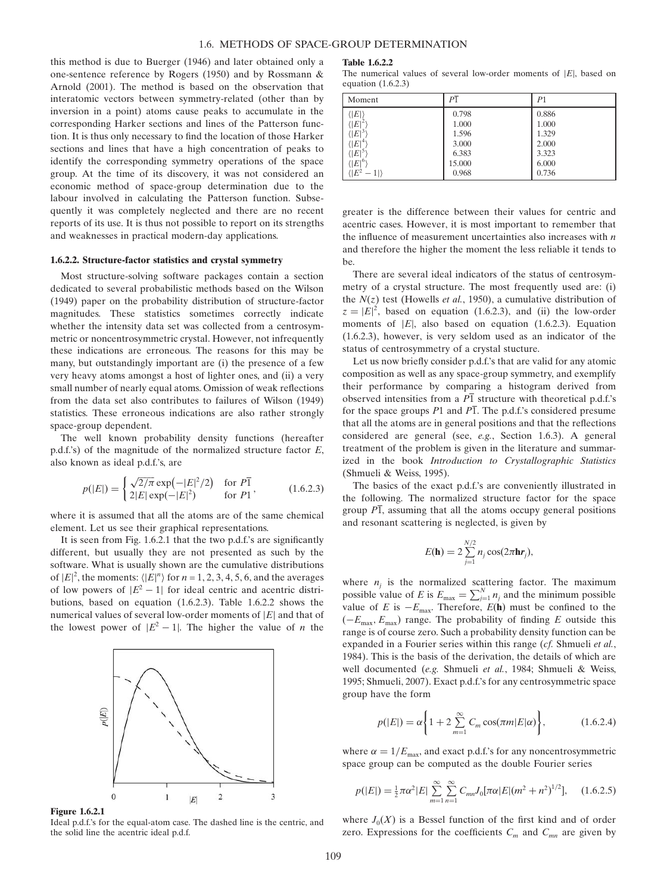this method is due to Buerger (1946) and later obtained only a one-sentence reference by Rogers (1950) and by Rossmann & Arnold (2001). The method is based on the observation that interatomic vectors between symmetry-related (other than by inversion in a point) atoms cause peaks to accumulate in the corresponding Harker sections and lines of the Patterson function. It is thus only necessary to find the location of those Harker sections and lines that have a high concentration of peaks to identify the corresponding symmetry operations of the space group. At the time of its discovery, it was not considered an economic method of space-group determination due to the labour involved in calculating the Patterson function. Subsequently it was completely neglected and there are no recent reports of its use. It is thus not possible to report on its strengths and weaknesses in practical modern-day applications.

### 1.6.2.2. Structure-factor statistics and crystal symmetry

Most structure-solving software packages contain a section dedicated to several probabilistic methods based on the Wilson (1949) paper on the probability distribution of structure-factor magnitudes. These statistics sometimes correctly indicate whether the intensity data set was collected from a centrosymmetric or noncentrosymmetric crystal. However, not infrequently these indications are erroneous. The reasons for this may be many, but outstandingly important are (i) the presence of a few very heavy atoms amongst a host of lighter ones, and (ii) a very small number of nearly equal atoms. Omission of weak reflections from the data set also contributes to failures of Wilson (1949) statistics. These erroneous indications are also rather strongly space-group dependent.

The well known probability density functions (hereafter p.d.f.'s) of the magnitude of the normalized structure factor  $E$ , also known as ideal p.d.f.'s, are

$$
p(|E|) = \begin{cases} \sqrt{2/\pi} \exp(-|E|^2/2) & \text{for } P\overline{1} \\ 2|E| \exp(-|E|^2) & \text{for } P1 \end{cases}
$$
 (1.6.2.3)

where it is assumed that all the atoms are of the same chemical element. Let us see their graphical representations.

It is seen from Fig. 1.6.2.1 that the two p.d.f.'s are significantly different, but usually they are not presented as such by the software. What is usually shown are the cumulative distributions of  $|E|^2$ , the moments:  $\langle |E|^n \rangle$  for  $n = 1, 2, 3, 4, 5, 6$ , and the averages of low powers of  $|E^2 - 1|$  for ideal centric and acentric distributions, based on equation (1.6.2.3). Table 1.6.2.2 shows the numerical values of several low-order moments of  $|E|$  and that of the lowest power of  $|E^2 - 1|$ . The higher the value of *n* the



Figure 1.6.2.1

Ideal p.d.f.'s for the equal-atom case. The dashed line is the centric, and the solid line the acentric ideal p.d.f.

The numerical values of several low-order moments of  $|E|$ , based on equation (1.6.2.3)

| Moment                               | P <sub>1</sub> | P <sub>1</sub> |
|--------------------------------------|----------------|----------------|
| $\langle  E  \rangle$                | 0.798          | 0.886          |
| $\left\langle  E ^{2} \right\rangle$ | 1.000          | 1.000          |
| $\langle  E ^3 \rangle$              | 1.596          | 1.329          |
| $ E ^4$                              | 3.000          | 2.000          |
| $\langle  E ^{5} \rangle$            | 6.383          | 3.323          |
| $\langle  E ^6 \rangle$              | 15.000         | 6.000          |
| $ E^2 $<br>$-1 \rangle$              | 0.968          | 0.736          |

greater is the difference between their values for centric and acentric cases. However, it is most important to remember that the influence of measurement uncertainties also increases with  $n$ and therefore the higher the moment the less reliable it tends to be.

There are several ideal indicators of the status of centrosymmetry of a crystal structure. The most frequently used are: (i) the  $N(z)$  test (Howells *et al.*, 1950), a cumulative distribution of  $z = |E|^2$ , based on equation (1.6.2.3), and (ii) the low-order moments of  $|E|$ , also based on equation (1.6.2.3). Equation (1.6.2.3), however, is very seldom used as an indicator of the status of centrosymmetry of a crystal stucture.

Let us now briefly consider p.d.f.'s that are valid for any atomic composition as well as any space-group symmetry, and exemplify their performance by comparing a histogram derived from observed intensities from a  $\overline{P1}$  structure with theoretical p.d.f.'s for the space groups  $P1$  and  $P\overline{1}$ . The p.d.f.'s considered presume that all the atoms are in general positions and that the reflections considered are general (see, e.g., Section 1.6.3). A general treatment of the problem is given in the literature and summarized in the book Introduction to Crystallographic Statistics (Shmueli & Weiss, 1995).

The basics of the exact p.d.f.'s are conveniently illustrated in the following. The normalized structure factor for the space group  $\overline{PI}$ , assuming that all the atoms occupy general positions and resonant scattering is neglected, is given by

$$
E(\mathbf{h}) = 2 \sum_{j=1}^{N/2} n_j \cos(2\pi \mathbf{h} \mathbf{r}_j),
$$

where  $n_i$  is the normalized scattering factor. The maximum possible value of E is  $E_{\text{max}} = \sum_{j=1}^{N} n_j$  and the minimum possible value of E is  $-E_{\text{max}}$ . Therefore,  $E(\mathbf{h})$  must be confined to the  $(-E_{\text{max}}, E_{\text{max}})$  range. The probability of finding E outside this range is of course zero. Such a probability density function can be expanded in a Fourier series within this range (cf. Shmueli et al., 1984). This is the basis of the derivation, the details of which are well documented (e.g. Shmueli et al., 1984; Shmueli & Weiss, 1995; Shmueli, 2007). Exact p.d.f.'s for any centrosymmetric space group have the form

$$
p(|E|) = \alpha \left\{ 1 + 2 \sum_{m=1}^{\infty} C_m \cos(\pi m |E|\alpha) \right\},\qquad(1.6.2.4)
$$

where  $\alpha = 1/E_{\text{max}}$ , and exact p.d.f.'s for any noncentrosymmetric space group can be computed as the double Fourier series

$$
p(|E|) = \frac{1}{2}\pi\alpha^2|E|\sum_{m=1}^{\infty}\sum_{n=1}^{\infty}C_{mn}J_0[\pi\alpha|E|(m^2+n^2)^{1/2}], \quad (1.6.2.5)
$$

where  $J_0(X)$  is a Bessel function of the first kind and of order zero. Expressions for the coefficients  $C_m$  and  $C_{mn}$  are given by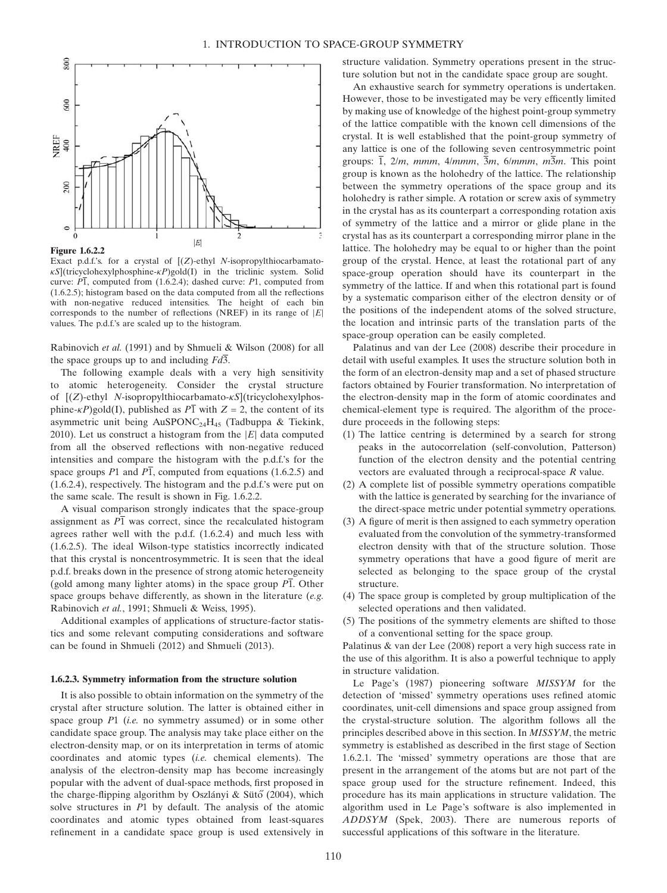

Figure 1.6.2.2

Exact p.d.f.'s. for a crystal of  $[(Z)$ -ethyl N-isopropylthiocarbamato- $\kappa S$ <sup>(tricyclohexylphosphine- $\kappa P$ )gold(I) in the triclinic system. Solid</sup> curve:  $\overline{PI}$ , computed from (1.6.2.4); dashed curve:  $\overline{PI}$ , computed from (1.6.2.5); histogram based on the data computed from all the reflections with non-negative reduced intensities. The height of each bin corresponds to the number of reflections (NREF) in its range of  $|E|$ values. The p.d.f.'s are scaled up to the histogram.

Rabinovich et al. (1991) and by Shmueli & Wilson (2008) for all the space groups up to and including  $Fd\overline{3}$ .

The following example deals with a very high sensitivity to atomic heterogeneity. Consider the crystal structure of  $[(Z)$ -ethyl N-isopropylthiocarbamato- $\kappa S$ ](tricyclohexylphosphine- $\kappa P$ )gold(I), published as  $\overline{P1}$  with  $Z = 2$ , the content of its asymmetric unit being AuSPONC<sub>24</sub>H<sub>45</sub> (Tadbuppa & Tiekink, 2010). Let us construct a histogram from the  $|E|$  data computed from all the observed reflections with non-negative reduced intensities and compare the histogram with the p.d.f.'s for the space groups P1 and  $\overline{P1}$ , computed from equations (1.6.2.5) and (1.6.2.4), respectively. The histogram and the p.d.f.'s were put on the same scale. The result is shown in Fig. 1.6.2.2.

A visual comparison strongly indicates that the space-group assignment as  $P\overline{1}$  was correct, since the recalculated histogram agrees rather well with the p.d.f. (1.6.2.4) and much less with (1.6.2.5). The ideal Wilson-type statistics incorrectly indicated that this crystal is noncentrosymmetric. It is seen that the ideal p.d.f. breaks down in the presence of strong atomic heterogeneity (gold among many lighter atoms) in the space group  $\overline{P1}$ . Other space groups behave differently, as shown in the literature  $(e.g.,)$ Rabinovich et al., 1991; Shmueli & Weiss, 1995).

Additional examples of applications of structure-factor statistics and some relevant computing considerations and software can be found in Shmueli (2012) and Shmueli (2013).

#### 1.6.2.3. Symmetry information from the structure solution

It is also possible to obtain information on the symmetry of the crystal after structure solution. The latter is obtained either in space group  $P1$  (*i.e.* no symmetry assumed) or in some other candidate space group. The analysis may take place either on the electron-density map, or on its interpretation in terms of atomic coordinates and atomic types (i.e. chemical elements). The analysis of the electron-density map has become increasingly popular with the advent of dual-space methods, first proposed in the charge-flipping algorithm by Oszlányi & Sütő (2004), which solve structures in P1 by default. The analysis of the atomic coordinates and atomic types obtained from least-squares refinement in a candidate space group is used extensively in structure validation. Symmetry operations present in the structure solution but not in the candidate space group are sought.

An exhaustive search for symmetry operations is undertaken. However, those to be investigated may be very efficently limited by making use of knowledge of the highest point-group symmetry of the lattice compatible with the known cell dimensions of the crystal. It is well established that the point-group symmetry of any lattice is one of the following seven centrosymmetric point groups:  $\overline{1}$ ,  $2/m$ , mmm,  $4/mmm$ ,  $\overline{3}m$ ,  $6/mmm$ ,  $m\overline{3}m$ . This point group is known as the holohedry of the lattice. The relationship between the symmetry operations of the space group and its holohedry is rather simple. A rotation or screw axis of symmetry in the crystal has as its counterpart a corresponding rotation axis of symmetry of the lattice and a mirror or glide plane in the crystal has as its counterpart a corresponding mirror plane in the lattice. The holohedry may be equal to or higher than the point group of the crystal. Hence, at least the rotational part of any space-group operation should have its counterpart in the symmetry of the lattice. If and when this rotational part is found by a systematic comparison either of the electron density or of the positions of the independent atoms of the solved structure, the location and intrinsic parts of the translation parts of the space-group operation can be easily completed.

Palatinus and van der Lee (2008) describe their procedure in detail with useful examples. It uses the structure solution both in the form of an electron-density map and a set of phased structure factors obtained by Fourier transformation. No interpretation of the electron-density map in the form of atomic coordinates and chemical-element type is required. The algorithm of the procedure proceeds in the following steps:

- (1) The lattice centring is determined by a search for strong peaks in the autocorrelation (self-convolution, Patterson) function of the electron density and the potential centring vectors are evaluated through a reciprocal-space R value.
- (2) A complete list of possible symmetry operations compatible with the lattice is generated by searching for the invariance of the direct-space metric under potential symmetry operations.
- (3) A figure of merit is then assigned to each symmetry operation evaluated from the convolution of the symmetry-transformed electron density with that of the structure solution. Those symmetry operations that have a good figure of merit are selected as belonging to the space group of the crystal structure.
- (4) The space group is completed by group multiplication of the selected operations and then validated.
- (5) The positions of the symmetry elements are shifted to those of a conventional setting for the space group.

Palatinus & van der Lee (2008) report a very high success rate in the use of this algorithm. It is also a powerful technique to apply in structure validation.

Le Page's (1987) pioneering software MISSYM for the detection of 'missed' symmetry operations uses refined atomic coordinates, unit-cell dimensions and space group assigned from the crystal-structure solution. The algorithm follows all the principles described above in this section. In MISSYM, the metric symmetry is established as described in the first stage of Section 1.6.2.1. The 'missed' symmetry operations are those that are present in the arrangement of the atoms but are not part of the space group used for the structure refinement. Indeed, this procedure has its main applications in structure validation. The algorithm used in Le Page's software is also implemented in ADDSYM (Spek, 2003). There are numerous reports of successful applications of this software in the literature.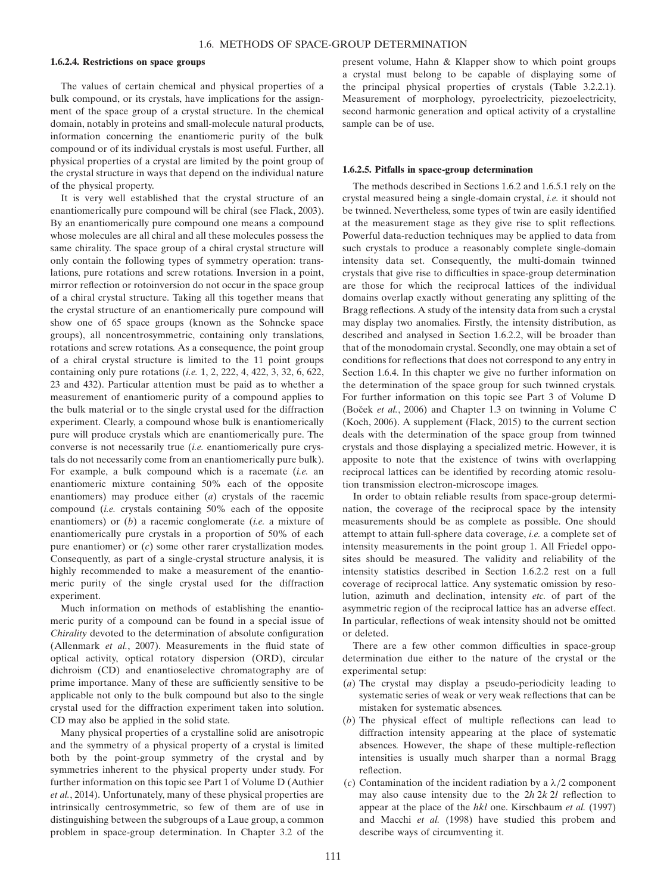#### 1.6.2.4. Restrictions on space groups

The values of certain chemical and physical properties of a bulk compound, or its crystals, have implications for the assignment of the space group of a crystal structure. In the chemical domain, notably in proteins and small-molecule natural products, information concerning the enantiomeric purity of the bulk compound or of its individual crystals is most useful. Further, all physical properties of a crystal are limited by the point group of the crystal structure in ways that depend on the individual nature of the physical property.

It is very well established that the crystal structure of an enantiomerically pure compound will be chiral (see Flack, 2003). By an enantiomerically pure compound one means a compound whose molecules are all chiral and all these molecules possess the same chirality. The space group of a chiral crystal structure will only contain the following types of symmetry operation: translations, pure rotations and screw rotations. Inversion in a point, mirror reflection or rotoinversion do not occur in the space group of a chiral crystal structure. Taking all this together means that the crystal structure of an enantiomerically pure compound will show one of 65 space groups (known as the Sohncke space groups), all noncentrosymmetric, containing only translations, rotations and screw rotations. As a consequence, the point group of a chiral crystal structure is limited to the 11 point groups containing only pure rotations (i.e. 1, 2, 222, 4, 422, 3, 32, 6, 622, 23 and 432). Particular attention must be paid as to whether a measurement of enantiomeric purity of a compound applies to the bulk material or to the single crystal used for the diffraction experiment. Clearly, a compound whose bulk is enantiomerically pure will produce crystals which are enantiomerically pure. The converse is not necessarily true (i.e. enantiomerically pure crystals do not necessarily come from an enantiomerically pure bulk). For example, a bulk compound which is a racemate (i.e. an enantiomeric mixture containing 50% each of the opposite enantiomers) may produce either (a) crystals of the racemic compound (i.e. crystals containing 50% each of the opposite enantiomers) or  $(b)$  a racemic conglomerate *(i.e.* a mixture of enantiomerically pure crystals in a proportion of 50% of each pure enantiomer) or  $(c)$  some other rarer crystallization modes. Consequently, as part of a single-crystal structure analysis, it is highly recommended to make a measurement of the enantiomeric purity of the single crystal used for the diffraction experiment.

Much information on methods of establishing the enantiomeric purity of a compound can be found in a special issue of Chirality devoted to the determination of absolute configuration (Allenmark et al., 2007). Measurements in the fluid state of optical activity, optical rotatory dispersion (ORD), circular dichroism (CD) and enantioselective chromatography are of prime importance. Many of these are sufficiently sensitive to be applicable not only to the bulk compound but also to the single crystal used for the diffraction experiment taken into solution. CD may also be applied in the solid state.

Many physical properties of a crystalline solid are anisotropic and the symmetry of a physical property of a crystal is limited both by the point-group symmetry of the crystal and by symmetries inherent to the physical property under study. For further information on this topic see Part 1 of Volume D (Authier et al., 2014). Unfortunately, many of these physical properties are intrinsically centrosymmetric, so few of them are of use in distinguishing between the subgroups of a Laue group, a common problem in space-group determination. In Chapter 3.2 of the

present volume, Hahn & Klapper show to which point groups a crystal must belong to be capable of displaying some of the principal physical properties of crystals (Table 3.2.2.1). Measurement of morphology, pyroelectricity, piezoelectricity, second harmonic generation and optical activity of a crystalline sample can be of use.

## 1.6.2.5. Pitfalls in space-group determination

The methods described in Sections 1.6.2 and 1.6.5.1 rely on the crystal measured being a single-domain crystal, i.e. it should not be twinned. Nevertheless, some types of twin are easily identified at the measurement stage as they give rise to split reflections. Powerful data-reduction techniques may be applied to data from such crystals to produce a reasonably complete single-domain intensity data set. Consequently, the multi-domain twinned crystals that give rise to difficulties in space-group determination are those for which the reciprocal lattices of the individual domains overlap exactly without generating any splitting of the Bragg reflections. A study of the intensity data from such a crystal may display two anomalies. Firstly, the intensity distribution, as described and analysed in Section 1.6.2.2, will be broader than that of the monodomain crystal. Secondly, one may obtain a set of conditions for reflections that does not correspond to any entry in Section 1.6.4. In this chapter we give no further information on the determination of the space group for such twinned crystals. For further information on this topic see Part 3 of Volume D (Boček et al., 2006) and Chapter 1.3 on twinning in Volume C (Koch, 2006). A supplement (Flack, 2015) to the current section deals with the determination of the space group from twinned crystals and those displaying a specialized metric. However, it is apposite to note that the existence of twins with overlapping reciprocal lattices can be identified by recording atomic resolution transmission electron-microscope images.

In order to obtain reliable results from space-group determination, the coverage of the reciprocal space by the intensity measurements should be as complete as possible. One should attempt to attain full-sphere data coverage, i.e. a complete set of intensity measurements in the point group 1. All Friedel opposites should be measured. The validity and reliability of the intensity statistics described in Section 1.6.2.2 rest on a full coverage of reciprocal lattice. Any systematic omission by resolution, azimuth and declination, intensity etc. of part of the asymmetric region of the reciprocal lattice has an adverse effect. In particular, reflections of weak intensity should not be omitted or deleted.

There are a few other common difficulties in space-group determination due either to the nature of the crystal or the experimental setup:

- (a) The crystal may display a pseudo-periodicity leading to systematic series of weak or very weak reflections that can be mistaken for systematic absences.
- (b) The physical effect of multiple reflections can lead to diffraction intensity appearing at the place of systematic absences. However, the shape of these multiple-reflection intensities is usually much sharper than a normal Bragg reflection.
- (c) Contamination of the incident radiation by a  $\lambda/2$  component may also cause intensity due to the 2h 2k 2l reflection to appear at the place of the hkl one. Kirschbaum et al. (1997) and Macchi et al. (1998) have studied this probem and describe ways of circumventing it.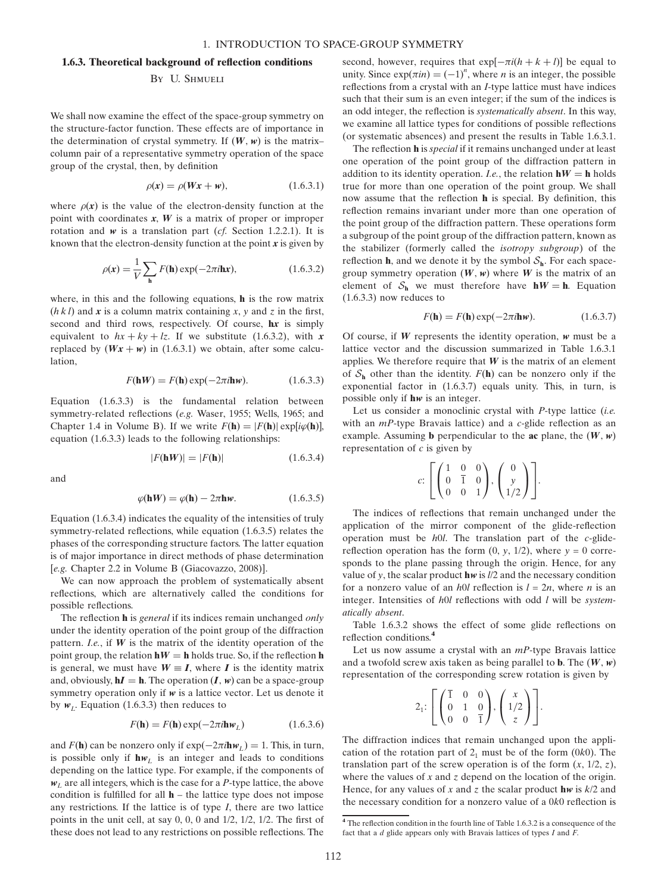#### 1.6.3. Theoretical background of reflection conditions

### BY U. SHMUELI

We shall now examine the effect of the space-group symmetry on the structure-factor function. These effects are of importance in the determination of crystal symmetry. If  $(W, w)$  is the matrix– column pair of a representative symmetry operation of the space group of the crystal, then, by definition

$$
\rho(\mathbf{x}) = \rho(W\mathbf{x} + \mathbf{w}), \tag{1.6.3.1}
$$

where  $\rho(x)$  is the value of the electron-density function at the point with coordinates  $x$ ,  $W$  is a matrix of proper or improper rotation and  $w$  is a translation part (*cf.* Section 1.2.2.1). It is known that the electron-density function at the point  $\boldsymbol{x}$  is given by

$$
\rho(\mathbf{x}) = \frac{1}{V} \sum_{\mathbf{h}} F(\mathbf{h}) \exp(-2\pi i \mathbf{h} \mathbf{x}), \qquad (1.6.3.2)
$$

where, in this and the following equations, **h** is the row matrix  $(h k l)$  and x is a column matrix containing x, y and z in the first, second and third rows, respectively. Of course, hx is simply equivalent to  $hx + ky + kz$ . If we substitute (1.6.3.2), with x replaced by  $(Wx + w)$  in (1.6.3.1) we obtain, after some calculation,

$$
F(\mathbf{h}W) = F(\mathbf{h}) \exp(-2\pi i \mathbf{h}w). \tag{1.6.3.3}
$$

Equation (1.6.3.3) is the fundamental relation between symmetry-related reflections (e.g. Waser, 1955; Wells, 1965; and Chapter 1.4 in Volume B). If we write  $F(\mathbf{h}) = |F(\mathbf{h})| \exp[i\varphi(\mathbf{h})]$ , equation (1.6.3.3) leads to the following relationships:

$$
|F(\mathbf{h}W)| = |F(\mathbf{h})| \tag{1.6.3.4}
$$

and

$$
\varphi(\mathbf{h}W) = \varphi(\mathbf{h}) - 2\pi \mathbf{h}\mathbf{w}.\tag{1.6.3.5}
$$

Equation (1.6.3.4) indicates the equality of the intensities of truly symmetry-related reflections, while equation (1.6.3.5) relates the phases of the corresponding structure factors. The latter equation is of major importance in direct methods of phase determination [e.g. Chapter 2.2 in Volume B (Giacovazzo, 2008)].

We can now approach the problem of systematically absent reflections, which are alternatively called the conditions for possible reflections.

The reflection **h** is *general* if its indices remain unchanged *only* under the identity operation of the point group of the diffraction pattern. *I.e.*, if  $W$  is the matrix of the identity operation of the point group, the relation  $hW = h$  holds true. So, if the reflection h is general, we must have  $W \equiv I$ , where I is the identity matrix and, obviously,  $\mathbf{h} \mathbf{I} = \mathbf{h}$ . The operation  $(\mathbf{I}, \mathbf{w})$  can be a space-group symmetry operation only if  $w$  is a lattice vector. Let us denote it by  $w_L$ . Equation (1.6.3.3) then reduces to

$$
F(\mathbf{h}) = F(\mathbf{h}) \exp(-2\pi i \mathbf{h} \mathbf{w}_L)
$$
 (1.6.3.6)

and  $F(\mathbf{h})$  can be nonzero only if  $\exp(-2\pi i \mathbf{h} \mathbf{w}_L) = 1$ . This, in turn, is possible only if  $h w<sub>L</sub>$  is an integer and leads to conditions depending on the lattice type. For example, if the components of  $w<sub>L</sub>$  are all integers, which is the case for a P-type lattice, the above condition is fulfilled for all  $h$  – the lattice type does not impose any restrictions. If the lattice is of type  $I$ , there are two lattice points in the unit cell, at say 0, 0, 0 and 1/2, 1/2, 1/2. The first of these does not lead to any restrictions on possible reflections. The

second, however, requires that  $\exp[-\pi i(h + k + l)]$  be equal to unity. Since  $exp(\pi in) = (-1)^n$ , where *n* is an integer, the possible reflections from a crystal with an I-type lattice must have indices such that their sum is an even integer; if the sum of the indices is an odd integer, the reflection is systematically absent. In this way, we examine all lattice types for conditions of possible reflections (or systematic absences) and present the results in Table 1.6.3.1.

The reflection **h** is *special* if it remains unchanged under at least one operation of the point group of the diffraction pattern in addition to its identity operation. *I.e.*, the relation  $hW = h$  holds true for more than one operation of the point group. We shall now assume that the reflection h is special. By definition, this reflection remains invariant under more than one operation of the point group of the diffraction pattern. These operations form a subgroup of the point group of the diffraction pattern, known as the stabilizer (formerly called the isotropy subgroup) of the reflection **h**, and we denote it by the symbol  $S_h$ . For each spacegroup symmetry operation  $(W, w)$  where W is the matrix of an element of  $S_h$  we must therefore have  $hW = h$ . Equation (1.6.3.3) now reduces to

$$
F(\mathbf{h}) = F(\mathbf{h}) \exp(-2\pi i \mathbf{h}\mathbf{w}). \tag{1.6.3.7}
$$

Of course, if  $W$  represents the identity operation,  $w$  must be a lattice vector and the discussion summarized in Table 1.6.3.1 applies. We therefore require that  $W$  is the matrix of an element of  $S_h$  other than the identity.  $F(h)$  can be nonzero only if the exponential factor in (1.6.3.7) equals unity. This, in turn, is possible only if hw is an integer.

Let us consider a monoclinic crystal with  $P$ -type lattice (*i.e.*) with an  $mP$ -type Bravais lattice) and a  $c$ -glide reflection as an example. Assuming **b** perpendicular to the **ac** plane, the  $(W, w)$ representation of  $c$  is given by

$$
c: \left[\begin{pmatrix} 1 & 0 & 0 \\ 0 & \overline{1} & 0 \\ 0 & 0 & 1 \end{pmatrix}, \begin{pmatrix} 0 \\ y \\ 1/2 \end{pmatrix} \right].
$$

The indices of reflections that remain unchanged under the application of the mirror component of the glide-reflection operation must be  $h0l$ . The translation part of the  $c$ -glidereflection operation has the form  $(0, y, 1/2)$ , where  $y = 0$  corresponds to the plane passing through the origin. Hence, for any value of y, the scalar product  $h \dot{w}$  is  $l/2$  and the necessary condition for a nonzero value of an h0l reflection is  $l = 2n$ , where n is an integer. Intensities of h0l reflections with odd l will be systematically absent.

Table 1.6.3.2 shows the effect of some glide reflections on reflection conditions.<sup>4</sup>

Let us now assume a crystal with an  $mP$ -type Bravais lattice and a twofold screw axis taken as being parallel to **b**. The  $(W, w)$ representation of the corresponding screw rotation is given by

$$
2_1: \left[\begin{pmatrix} \overline{1} & 0 & 0 \\ 0 & 1 & 0 \\ 0 & 0 & \overline{1} \end{pmatrix}, \begin{pmatrix} x \\ 1/2 \\ z \end{pmatrix} \right].
$$

The diffraction indices that remain unchanged upon the application of the rotation part of  $2<sub>1</sub>$  must be of the form (0k0). The translation part of the screw operation is of the form  $(x, 1/2, z)$ , where the values of x and z depend on the location of the origin. Hence, for any values of x and z the scalar product  $h w$  is  $k/2$  and the necessary condition for a nonzero value of a 0k0 reflection is

<sup>4</sup> The reflection condition in the fourth line of Table 1.6.3.2 is a consequence of the fact that a  $d$  glide appears only with Bravais lattices of types  $I$  and  $\overline{F}$ .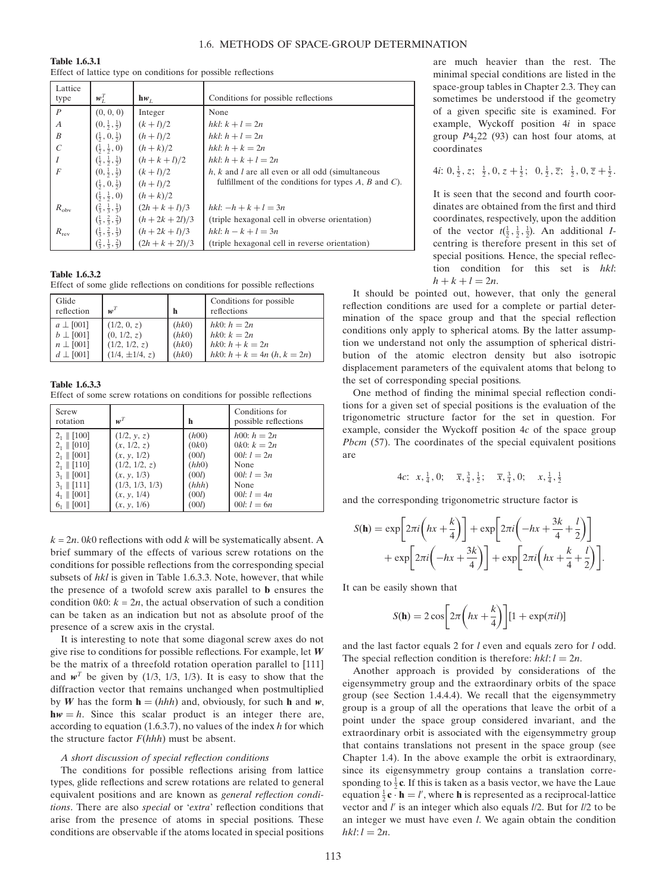# Table 1.6.3.1

| Effect of lattice type on conditions for possible reflections |  |  |
|---------------------------------------------------------------|--|--|
|                                                               |  |  |

| Lattice<br>type         | $w_L^T$                                   | $\mathbf{h}\mathbf{w}_{I}$                                                                | Conditions for possible reflections                          |
|-------------------------|-------------------------------------------|-------------------------------------------------------------------------------------------|--------------------------------------------------------------|
| P                       | (0, 0, 0)                                 | Integer                                                                                   | None                                                         |
| $\boldsymbol{A}$        | $(0, \frac{1}{2}, \frac{1}{2})$           | $(k+l)/2$                                                                                 | hkl: $k+l=2n$                                                |
| B                       |                                           | $(\frac{1}{2}, 0, \frac{1}{2})$ $(h+l)/2$                                                 | hkl: $h+l=2n$                                                |
| $\mathcal{C}_{0}^{(n)}$ | $(\frac{1}{2}, \frac{1}{2}, 0)$           | $(h+k)/2$                                                                                 | hkl: $h + k = 2n$                                            |
| $\overline{I}$          |                                           | $(\frac{1}{2}, \frac{1}{2}, \frac{1}{2})$ $(h + k + l)/2$                                 | hkl: $h + k + l = 2n$                                        |
| $\overline{F}$          |                                           | $(0, \frac{1}{2}, \frac{1}{2})$ $(k+l)/2$                                                 | $h, k$ and l are all even or all odd (simultaneous           |
|                         | $(\frac{1}{2}, 0, \frac{1}{2})$           | $(h+l)/2$                                                                                 | fulfillment of the conditions for types $A$ , $B$ and $C$ ). |
|                         | $(\frac{1}{2}, \frac{1}{2}, 0)$           | $(h+k)/2$                                                                                 |                                                              |
| $R_{\rm{obv}}$          | $(\frac{2}{3}, \frac{1}{3}, \frac{1}{3})$ | $(2h+k+l)/3$                                                                              | hkl: $-h+k+l = 3n$                                           |
|                         |                                           | $\left(\frac{1}{3}, \frac{2}{3}, \frac{2}{3}\right)$ $\left(\frac{h + 2k + 2l}{3}\right)$ | (triple hexagonal cell in obverse orientation)               |
| $R_{\rm rev}$           |                                           | $\left(\frac{1}{3}, \frac{2}{3}, \frac{1}{3}\right)$ $\left(h + 2k + l\right)/3$          | hkl: $h - k + l = 3n$                                        |
|                         |                                           | $\left(\frac{2}{3},\frac{1}{3},\frac{2}{3}\right)$ $\left(\frac{2h+k+2l}{3}\right)$       | (triple hexagonal cell in reverse orientation)               |

## Table 1.6.3.2

Effect of some glide reflections on conditions for possible reflections

| Glide<br>reflection | $\mathbf{w}^T$      | h     | Conditions for possible<br>reflections |
|---------------------|---------------------|-------|----------------------------------------|
| $a \perp [001]$     | (1/2, 0, z)         | (hk0) | $hk0$ : $h=2n$                         |
| $b \perp [001]$     | (0, 1/2, z)         | (hk0) | $hk0: k = 2n$                          |
| $n \perp [001]$     | (1/2, 1/2, z)       | (hk0) | $hk0$ : $h + k = 2n$                   |
| $d \perp [001]$     | $(1/4, \pm 1/4, z)$ | (hk0) | $hk0$ : $h + k = 4n$ $(h, k = 2n)$     |

Table 1.6.3.3 Effect of some screw rotations on conditions for possible reflections

| Screw<br>rotation    | $w^T$           | h     | Conditions for<br>possible reflections |
|----------------------|-----------------|-------|----------------------------------------|
| $2_1$    [100]       | (1/2, y, z)     | (h00) | $h(0)$ : $h = 2n$                      |
| $2_1$    [010]       | (x, 1/2, z)     | (0k0) | $0k0: k = 2n$                          |
| $2_1$    [001]       | (x, y, 1/2)     | (00l) | 00 <i>l</i> : $l = 2n$                 |
| $21$   [110]         | (1/2, 1/2, z)   | (hh0) | None                                   |
| $3_1$    [001]       | (x, y, 1/3)     | (00l) | 00 <i>l</i> : $l = 3n$                 |
| $3_1$    [111]       | (1/3, 1/3, 1/3) | (hhh) | None                                   |
| $4_1$    [001]       | (x, y, 1/4)     | (00l) | 00 <i>l</i> : $l = 4n$                 |
| $61 \parallel [001]$ | (x, y, 1/6)     | (00l) | 00 <i>l</i> : $l = 6n$                 |

 $k = 2n$ . 0k0 reflections with odd k will be systematically absent. A brief summary of the effects of various screw rotations on the conditions for possible reflections from the corresponding special subsets of hkl is given in Table 1.6.3.3. Note, however, that while the presence of a twofold screw axis parallel to b ensures the condition  $0k0$ :  $k = 2n$ , the actual observation of such a condition can be taken as an indication but not as absolute proof of the presence of a screw axis in the crystal.

It is interesting to note that some diagonal screw axes do not give rise to conditions for possible reflections. For example, let  $W$ be the matrix of a threefold rotation operation parallel to [111] and  $w<sup>T</sup>$  be given by (1/3, 1/3, 1/3). It is easy to show that the diffraction vector that remains unchanged when postmultiplied by W has the form  $\mathbf{h} = (hhh)$  and, obviously, for such **h** and w,  $h w = h$ . Since this scalar product is an integer there are, according to equation (1.6.3.7), no values of the index  $h$  for which the structure factor  $F(hhh)$  must be absent.

## A short discussion of special reflection conditions

The conditions for possible reflections arising from lattice types, glide reflections and screw rotations are related to general equivalent positions and are known as general reflection conditions. There are also special or 'extra' reflection conditions that arise from the presence of atoms in special positions. These conditions are observable if the atoms located in special positions

are much heavier than the rest. The minimal special conditions are listed in the space-group tables in Chapter 2.3. They can sometimes be understood if the geometry of a given specific site is examined. For example, Wyckoff position 4i in space group  $P4,22$  (93) can host four atoms, at coordinates

4*i*: 
$$
0, \frac{1}{2}, z
$$
;  $\frac{1}{2}, 0, z + \frac{1}{2}$ ;  $0, \frac{1}{2}, \overline{z}$ ;  $\frac{1}{2}, 0, \overline{z} + \frac{1}{2}$ .

It is seen that the second and fourth coordinates are obtained from the first and third coordinates, respectively, upon the addition of the vector  $t(\frac{1}{2}, \frac{1}{2}, \frac{1}{2})$ . An additional Icentring is therefore present in this set of special positions. Hence, the special reflection condition for this set is hkl:  $h + k + l = 2n$ .

It should be pointed out, however, that only the general reflection conditions are used for a complete or partial determination of the space group and that the special reflection conditions only apply to spherical atoms. By the latter assumption we understand not only the assumption of spherical distribution of the atomic electron density but also isotropic displacement parameters of the equivalent atoms that belong to the set of corresponding special positions.

One method of finding the minimal special reflection conditions for a given set of special positions is the evaluation of the trigonometric structure factor for the set in question. For example, consider the Wyckoff position 4c of the space group Pbcm (57). The coordinates of the special equivalent positions are

4*c*: 
$$
x, \frac{1}{4}, 0
$$
;  $\overline{x}, \frac{3}{4}, \frac{1}{2}$ ;  $\overline{x}, \frac{3}{4}, 0$ ;  $x, \frac{1}{4}, \frac{1}{2}$ 

and the corresponding trigonometric structure factor is

$$
S(\mathbf{h}) = \exp\left[2\pi i\left(hx + \frac{k}{4}\right)\right] + \exp\left[2\pi i\left(-hx + \frac{3k}{4} + \frac{l}{2}\right)\right] + \exp\left[2\pi i\left(-hx + \frac{3k}{4}\right)\right] + \exp\left[2\pi i\left(hx + \frac{k}{4} + \frac{l}{2}\right)\right].
$$

It can be easily shown that

$$
S(\mathbf{h}) = 2\cos\left[2\pi\left(hx + \frac{k}{4}\right)\right][1 + \exp(\pi il)]
$$

and the last factor equals 2 for l even and equals zero for l odd. The special reflection condition is therefore:  $hkl: l = 2n$ .

Another approach is provided by considerations of the eigensymmetry group and the extraordinary orbits of the space group (see Section 1.4.4.4). We recall that the eigensymmetry group is a group of all the operations that leave the orbit of a point under the space group considered invariant, and the extraordinary orbit is associated with the eigensymmetry group that contains translations not present in the space group (see Chapter 1.4). In the above example the orbit is extraordinary, since its eigensymmetry group contains a translation corresponding to  $\frac{1}{2}$ **c**. If this is taken as a basis vector, we have the Laue equation  $\frac{1}{2} \mathbf{c} \cdot \mathbf{h} = l'$ , where **h** is represented as a reciprocal-lattice vector and  $l'$  is an integer which also equals  $l/2$ . But for  $l/2$  to be an integer we must have even l. We again obtain the condition  $hkl: l = 2n$ .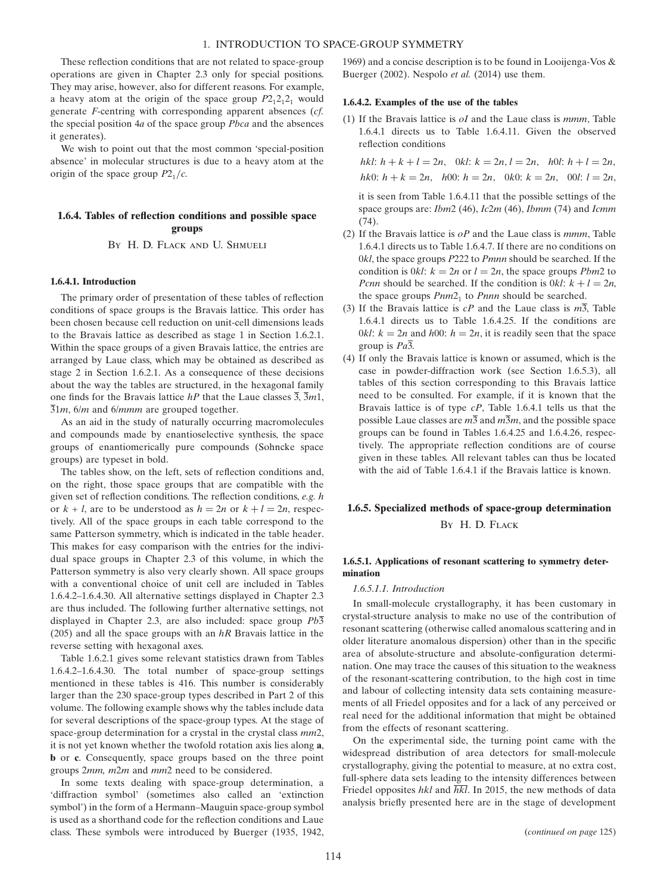These reflection conditions that are not related to space-group operations are given in Chapter 2.3 only for special positions. They may arise, however, also for different reasons. For example, a heavy atom at the origin of the space group  $P2_12_12_1$  would generate F-centring with corresponding apparent absences (cf. the special position  $4a$  of the space group  $Pbca$  and the absences it generates).

We wish to point out that the most common 'special-position absence' in molecular structures is due to a heavy atom at the origin of the space group  $P2_1/c$ .

# 1.6.4. Tables of reflection conditions and possible space groups

By H. D. Flack and U. Shmueli

#### 1.6.4.1. Introduction

The primary order of presentation of these tables of reflection conditions of space groups is the Bravais lattice. This order has been chosen because cell reduction on unit-cell dimensions leads to the Bravais lattice as described as stage 1 in Section 1.6.2.1. Within the space groups of a given Bravais lattice, the entries are arranged by Laue class, which may be obtained as described as stage 2 in Section 1.6.2.1. As a consequence of these decisions about the way the tables are structured, in the hexagonal family one finds for the Bravais lattice  $hP$  that the Laue classes  $\overline{3}$ ,  $\overline{3}m1$ ,  $\overline{31m}$ , 6/*m* and 6/*mmm* are grouped together.

As an aid in the study of naturally occurring macromolecules and compounds made by enantioselective synthesis, the space groups of enantiomerically pure compounds (Sohncke space groups) are typeset in bold.

The tables show, on the left, sets of reflection conditions and, on the right, those space groups that are compatible with the given set of reflection conditions. The reflection conditions, e.g. h or  $k + l$ , are to be understood as  $h = 2n$  or  $k + l = 2n$ , respectively. All of the space groups in each table correspond to the same Patterson symmetry, which is indicated in the table header. This makes for easy comparison with the entries for the individual space groups in Chapter 2.3 of this volume, in which the Patterson symmetry is also very clearly shown. All space groups with a conventional choice of unit cell are included in Tables 1.6.4.2–1.6.4.30. All alternative settings displayed in Chapter 2.3 are thus included. The following further alternative settings, not displayed in Chapter 2.3, are also included: space group  $Pb\overline{3}$ (205) and all the space groups with an  $hR$  Bravais lattice in the reverse setting with hexagonal axes.

Table 1.6.2.1 gives some relevant statistics drawn from Tables 1.6.4.2–1.6.4.30. The total number of space-group settings mentioned in these tables is 416. This number is considerably larger than the 230 space-group types described in Part 2 of this volume. The following example shows why the tables include data for several descriptions of the space-group types. At the stage of space-group determination for a crystal in the crystal class  $mm2$ , it is not yet known whether the twofold rotation axis lies along a, b or c. Consequently, space groups based on the three point groups 2mm, m2m and mm2 need to be considered.

In some texts dealing with space-group determination, a 'diffraction symbol' (sometimes also called an 'extinction symbol') in the form of a Hermann–Mauguin space-group symbol is used as a shorthand code for the reflection conditions and Laue class. These symbols were introduced by Buerger (1935, 1942, 1969) and a concise description is to be found in Looijenga-Vos & Buerger (2002). Nespolo *et al.* (2014) use them.

### 1.6.4.2. Examples of the use of the tables

(1) If the Bravais lattice is  $oI$  and the Laue class is *mmm*, Table 1.6.4.1 directs us to Table 1.6.4.11. Given the observed reflection conditions

hkl:  $h + k + l = 2n$ , 0kl:  $k = 2n$ ,  $l = 2n$ , h0l:  $h + l = 2n$ , hk0:  $h + k = 2n$ , h00:  $h = 2n$ , 0k0:  $k = 2n$ , 00l:  $l = 2n$ ,

it is seen from Table 1.6.4.11 that the possible settings of the space groups are: Ibm2 (46), Ic2m (46), Ibmm (74) and Icmm (74).

- (2) If the Bravais lattice is  $oP$  and the Laue class is mmm, Table 1.6.4.1 directs us to Table 1.6.4.7. If there are no conditions on 0kl, the space groups P222 to Pmnn should be searched. If the condition is 0kl:  $k = 2n$  or  $l = 2n$ , the space groups *Pbm*2 to Pcnn should be searched. If the condition is  $0kl$ :  $k + l = 2n$ , the space groups  $Pnm2<sub>1</sub>$  to  $Pnnn$  should be searched.
- (3) If the Bravais lattice is  $cP$  and the Laue class is  $m\overline{3}$ , Table 1.6.4.1 directs us to Table 1.6.4.25. If the conditions are 0kl:  $k = 2n$  and h00:  $h = 2n$ , it is readily seen that the space group is  $Pa\overline{3}$ .
- (4) If only the Bravais lattice is known or assumed, which is the case in powder-diffraction work (see Section 1.6.5.3), all tables of this section corresponding to this Bravais lattice need to be consulted. For example, if it is known that the Bravais lattice is of type  $cP$ , Table 1.6.4.1 tells us that the possible Laue classes are  $m\overline{3}$  and  $m\overline{3}m$ , and the possible space groups can be found in Tables 1.6.4.25 and 1.6.4.26, respectively. The appropriate reflection conditions are of course given in these tables. All relevant tables can thus be located with the aid of Table 1.6.4.1 if the Bravais lattice is known.

# 1.6.5. Specialized methods of space-group determination By H. D. Flack

1.6.5.1. Applications of resonant scattering to symmetry determination

#### 1.6.5.1.1. Introduction

In small-molecule crystallography, it has been customary in crystal-structure analysis to make no use of the contribution of resonant scattering (otherwise called anomalous scattering and in older literature anomalous dispersion) other than in the specific area of absolute-structure and absolute-configuration determination. One may trace the causes of this situation to the weakness of the resonant-scattering contribution, to the high cost in time and labour of collecting intensity data sets containing measurements of all Friedel opposites and for a lack of any perceived or real need for the additional information that might be obtained from the effects of resonant scattering.

On the experimental side, the turning point came with the widespread distribution of area detectors for small-molecule crystallography, giving the potential to measure, at no extra cost, full-sphere data sets leading to the intensity differences between Friedel opposites hkl and  $\overline{hkl}$ . In 2015, the new methods of data analysis briefly presented here are in the stage of development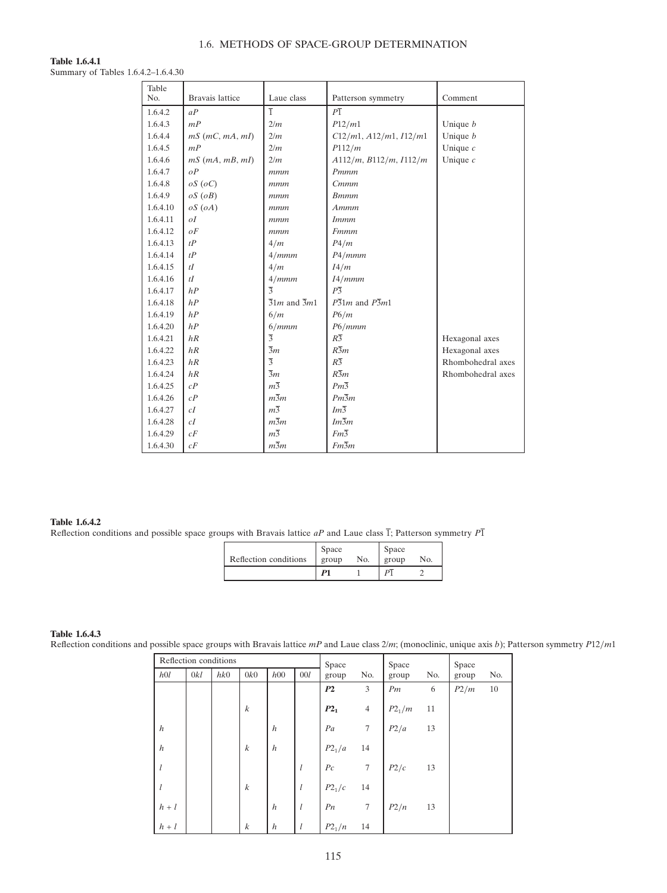| <b>Table 1.6.4.1</b>               |  |
|------------------------------------|--|
| Summary of Tables 1.6.4.2–1.6.4.30 |  |

| Table<br>No. | Bravais lattice             | Laue class                            | Patterson symmetry                      | Comment           |
|--------------|-----------------------------|---------------------------------------|-----------------------------------------|-------------------|
| 1.6.4.2      | aP                          | $\overline{1}$                        | $\overline{P1}$                         |                   |
| 1.6.4.3      | mP                          | 2/m                                   | P12/m1                                  | Unique $b$        |
| 1.6.4.4      | $mS$ (mC, mA, mI)           | 2/m                                   | $C12/ml$ , $A12/ml$ , $I12/ml$          | Unique $b$        |
| 1.6.4.5      | mP                          | 2/m                                   | P112/m                                  | Unique $c$        |
| 1.6.4.6      | $mS$ ( $mA$ , $mB$ , $mI$ ) | 2/m                                   | A112/m, B112/m, I112/m                  | Unique $c$        |
| 1.6.4.7      | oP                          | mmm                                   | Pmmm                                    |                   |
| 1.6.4.8      | $oS$ $(oC)$                 | mmm                                   | Cmmm                                    |                   |
| 1.6.4.9      | $oS$ $(OB)$                 | mmm                                   | <b>B</b> <sub>mmm</sub>                 |                   |
| 1.6.4.10     | $oS$ $(oA)$                 | mmm                                   | Ammm                                    |                   |
| 1.6.4.11     | oI                          | mmm                                   | <i>Immm</i>                             |                   |
| 1.6.4.12     | oF                          | mmm                                   | <b>Fmmm</b>                             |                   |
| 1.6.4.13     | tP                          | 4/m                                   | P4/m                                    |                   |
| 1.6.4.14     | tP                          | 4/mmm                                 | P4/mmm                                  |                   |
| 1.6.4.15     | tI                          | 4/m                                   | I4/m                                    |                   |
| 1.6.4.16     | tI                          | 4/mmm                                 | I4/mmm                                  |                   |
| 1.6.4.17     | hP                          | $\overline{3}$                        | $P\overline{3}$                         |                   |
| 1.6.4.18     | hP                          | $\overline{3}1m$ and $\overline{3}m1$ | $P\overline{3}1m$ and $P\overline{3}m1$ |                   |
| 1.6.4.19     | hP                          | 6/m                                   | P6/m                                    |                   |
| 1.6.4.20     | hP                          | 6/mmm                                 | P6/mmm                                  |                   |
| 1.6.4.21     | hR                          | $\overline{3}$                        | $R\overline{3}$                         | Hexagonal axes    |
| 1.6.4.22     | hR                          | $\overline{3}m$                       | $R\overline{3}m$                        | Hexagonal axes    |
| 1.6.4.23     | hR                          | $\overline{3}$                        | $R\overline{3}$                         | Rhombohedral axes |
| 1.6.4.24     | hR                          | $\overline{3}m$                       | $R\overline{3}m$                        | Rhombohedral axes |
| 1.6.4.25     | cP                          | $m\overline{3}$                       | $Pm\overline{3}$                        |                   |
| 1.6.4.26     | cP                          | $m\overline{3}m$                      | $Pm\overline{3}m$                       |                   |
| 1.6.4.27     | cI                          | $m\overline{3}$                       | $Im\overline{3}$                        |                   |
| 1.6.4.28     | cI                          | $m\overline{3}m$                      | $Im\overline{3}m$                       |                   |
| 1.6.4.29     | cF                          | $m\overline{3}$                       | $Fm\overline{3}$                        |                   |
| 1.6.4.30     | cF                          | $m\overline{3}m$                      | $Fm\overline{3}m$                       |                   |

# Table 1.6.4.2

Reflection conditions and possible space groups with Bravais lattice  $aP$  and Laue class  $\overline{1}$ ; Patterson symmetry  $P\overline{1}$ 

|                       | Space          |     | Space |     |
|-----------------------|----------------|-----|-------|-----|
| Reflection conditions | group          | No. | group | No. |
|                       | $\mathbf{p}_1$ |     |       |     |

Table 1.6.4.3

Reflection conditions and possible space groups with Bravais lattice  $mP$  and Laue class  $2/m$ ; (monoclinic, unique axis b); Patterson symmetry  $P12/m1$ 

|                  |     | Reflection conditions |                  |                  |     | Space              |                | Space    |     | Space |     |
|------------------|-----|-----------------------|------------------|------------------|-----|--------------------|----------------|----------|-----|-------|-----|
| h0l              | 0kl | hk0                   | 0k0              | h00              | 00l | group              | No.            | group    | No. | group | No. |
|                  |     |                       |                  |                  |     | P2                 | 3              | Pm       | 6   | P2/m  | 10  |
|                  |     |                       | $\boldsymbol{k}$ |                  |     | $P2_1$             | $\overline{4}$ | $P2_1/m$ | 11  |       |     |
| $\boldsymbol{h}$ |     |                       |                  | $\boldsymbol{h}$ |     | Pa                 | $\tau$         | P2/a     | 13  |       |     |
| $\boldsymbol{h}$ |     |                       | $\boldsymbol{k}$ | $\boldsymbol{h}$ |     | $P2_{1}/a$         | 14             |          |     |       |     |
| l                |     |                       |                  |                  | l   | Pc                 | $\tau$         | P2/c     | 13  |       |     |
|                  |     |                       | $\boldsymbol{k}$ |                  | l   | P2 <sub>1</sub> /c | 14             |          |     |       |     |
| $h+l$            |     |                       |                  | $\boldsymbol{h}$ | l   | P <sub>n</sub>     | $\tau$         | P2/n     | 13  |       |     |
| $h+l$            |     |                       | $\boldsymbol{k}$ | $\boldsymbol{h}$ | l   | $P2_{1}/n$         | 14             |          |     |       |     |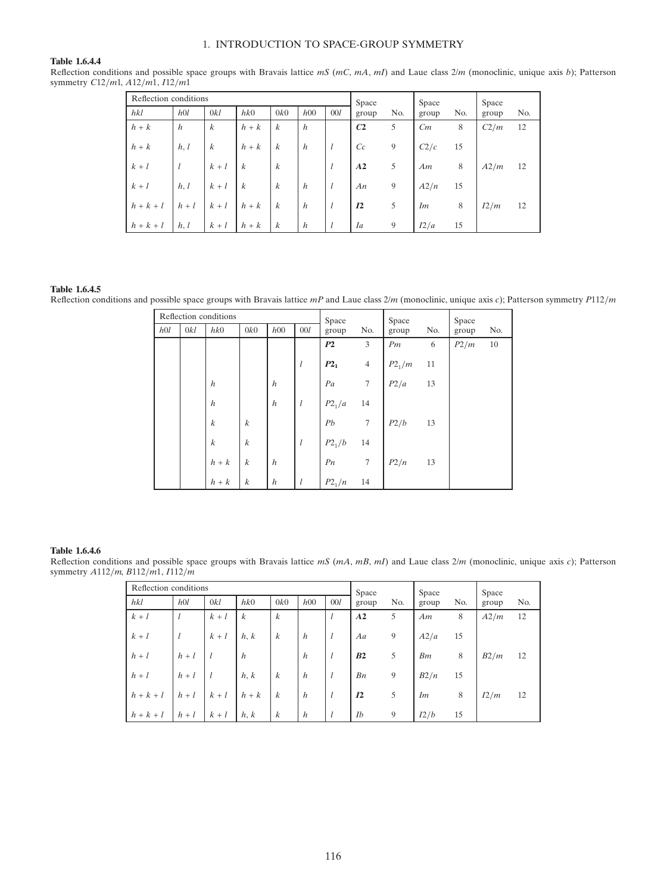# Table 1.6.4.4

Reflection conditions and possible space groups with Bravais lattice  $mS$  ( $mC$ ,  $mA$ ,  $mI$ ) and Laue class  $2/m$  (monoclinic, unique axis b); Patterson symmetry  $C12/m1$ ,  $A12/m1$ ,  $I12/m1$ 

|         | Reflection conditions |                  |                  |                  |                  |     | Space          |     | Space |     | Space |     |
|---------|-----------------------|------------------|------------------|------------------|------------------|-----|----------------|-----|-------|-----|-------|-----|
| hkl     | h0l                   | 0kl              | h k0             | 0k0              | h00              | 00l | group          | No. | group | No. | group | No. |
| $h + k$ | h                     | k                | $h + k$          | $\boldsymbol{k}$ | $\boldsymbol{h}$ |     | C <sub>2</sub> | 5   | Cm    | 8   | C2/m  | 12  |
| $h + k$ | h, l                  | $\boldsymbol{k}$ | $h + k$          | $\boldsymbol{k}$ | $\boldsymbol{h}$ |     | Cc             | 9   | C2/c  | 15  |       |     |
| $k+l$   | $\iota$               | $k+l$            | $\boldsymbol{k}$ | $\boldsymbol{k}$ |                  |     | A2             | 5   | Am    | 8   | A2/m  | 12  |
| $k+l$   | h, l                  | $k+l$            | $\boldsymbol{k}$ | $\boldsymbol{k}$ | $\boldsymbol{h}$ |     | An             | 9   | A2/n  | 15  |       |     |
| $h+k+l$ | $h+l$                 | $k+l$            | $h + k$          | $\boldsymbol{k}$ | $\boldsymbol{h}$ |     | I2             | 5   | Im    | 8   | I2/m  | 12  |
| $h+k+l$ | h, l                  | $k+l$            | $h + k$          | $\boldsymbol{k}$ | $\boldsymbol{h}$ |     | Ia             | 9   | I2/a  | 15  |       |     |

# Table 1.6.4.5

Reflection conditions and possible space groups with Bravais lattice  $mP$  and Laue class  $2/m$  (monoclinic, unique axis c); Patterson symmetry  $P112/m$ 

| Reflection conditions |     | Space            |                  | Space            |         | Space              |                |          |     |       |     |
|-----------------------|-----|------------------|------------------|------------------|---------|--------------------|----------------|----------|-----|-------|-----|
| h0l                   | 0kl | hk0              | 0k0              | h00              | 00l     | group              | No.            | group    | No. | group | No. |
|                       |     |                  |                  |                  |         | P2                 | 3              | Pm       | 6   | P2/m  | 10  |
|                       |     |                  |                  |                  | l       | $P2_1$             | $\overline{4}$ | $P2_1/m$ | 11  |       |     |
|                       |     | $\boldsymbol{h}$ |                  | $\boldsymbol{h}$ |         | Pa                 | $\overline{7}$ | P2/a     | 13  |       |     |
|                       |     | $\boldsymbol{h}$ |                  | $\boldsymbol{h}$ | $\iota$ | P2 <sub>1</sub> /a | 14             |          |     |       |     |
|                       |     | $\boldsymbol{k}$ | $\boldsymbol{k}$ |                  |         | Pb                 | $\tau$         | P2/b     | 13  |       |     |
|                       |     | $\boldsymbol{k}$ | $\boldsymbol{k}$ |                  | $\iota$ | $P2_1/b$           | 14             |          |     |       |     |
|                       |     | $h + k$          | $\boldsymbol{k}$ | $\boldsymbol{h}$ |         | Pn                 | $\overline{7}$ | P2/n     | 13  |       |     |
|                       |     | $h + k$          | $\boldsymbol{k}$ | $\boldsymbol{h}$ | l       | $P2_1/n$           | 14             |          |     |       |     |

# Table 1.6.4.6

Reflection conditions and possible space groups with Bravais lattice  $mS$  ( $mA$ ,  $mB$ ,  $mI$ ) and Laue class  $2/m$  (monoclinic, unique axis c); Patterson symmetry  $A112/m$ ,  $B112/m1$ ,  $I112/m$ 

| Reflection conditions |         |       |                  |                  |                  |         | Space |     | Space |     | Space |     |
|-----------------------|---------|-------|------------------|------------------|------------------|---------|-------|-----|-------|-----|-------|-----|
| hkl                   | h0l     | 0kl   | hk0              | 0k0              | h00              | 00l     | group | No. | group | No. | group | No. |
| $k+l$                 | $\iota$ | $k+l$ | $\boldsymbol{k}$ | k                |                  | $\iota$ | A2    | 5   | Am    | 8   | A2/m  | 12  |
| $k+l$                 | l       | $k+l$ | h, k             | $\boldsymbol{k}$ | $\boldsymbol{h}$ |         | Aa    | 9   | A2/a  | 15  |       |     |
| $h + l$               | $h+l$   |       | $\boldsymbol{h}$ |                  | $\boldsymbol{h}$ | $\iota$ | B2    | 5   | Bm    | 8   | B2/m  | 12  |
| $h + l$               | $h+l$   |       | h, k             | $\boldsymbol{k}$ | $\boldsymbol{h}$ | $\iota$ | Bn    | 9   | B2/n  | 15  |       |     |
| $h+k+l$               | $h+l$   | $k+l$ | $h + k$          | $\boldsymbol{k}$ | $\boldsymbol{h}$ | $\iota$ | I2    | 5   | Im    | 8   | I2/m  | 12  |
| $h+k+l$               | $h+l$   | $k+l$ | h, k             | $\boldsymbol{k}$ | $\boldsymbol{h}$ |         | Ib    | 9   | I2/b  | 15  |       |     |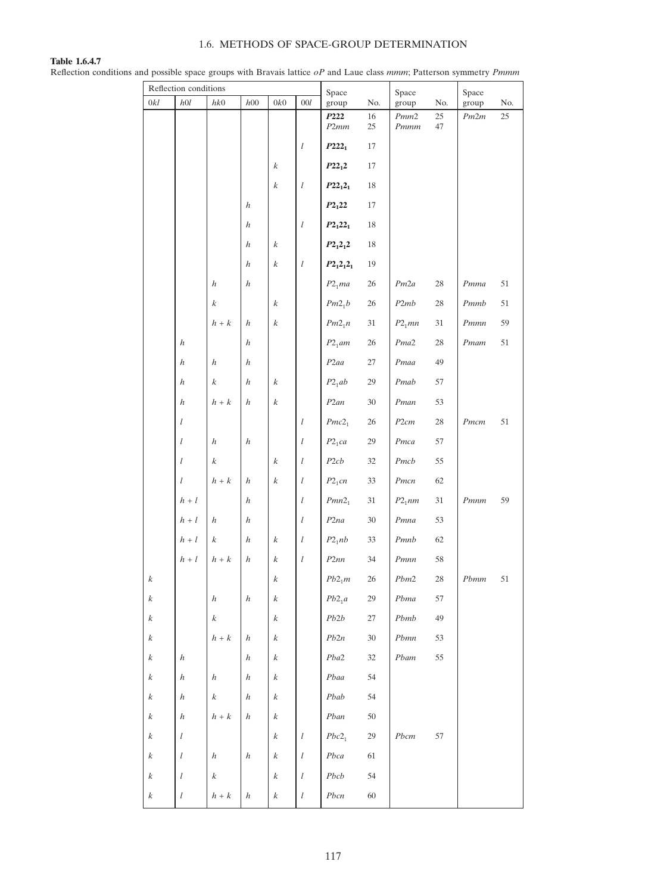# Table 1.6.4.7

Reflection conditions and possible space groups with Bravais lattice  $oP$  and Laue class mmm; Patterson symmetry *Pmmm* 

|                  | Reflection conditions |                                 |                  |                  |                  | Space             |          | Space        |          | Space    |        |
|------------------|-----------------------|---------------------------------|------------------|------------------|------------------|-------------------|----------|--------------|----------|----------|--------|
| $0kl$            | $h0l$                 | hk0                             | h00              | $0k0$            | 00l              | group             | No.      | group        | No.      | group    | No.    |
|                  |                       |                                 |                  |                  |                  | P222<br>P2mm      | 16<br>25 | Pmm2<br>Pmmm | 25<br>47 | Pm2m     | 25     |
|                  |                       |                                 |                  |                  | l                | $P222_1$          | 17       |              |          |          |        |
|                  |                       |                                 |                  | $\boldsymbol{k}$ |                  | $P22_12$          | $17\,$   |              |          |          |        |
|                  |                       |                                 |                  | $\boldsymbol{k}$ | $\boldsymbol{l}$ | $P22_12_1$        | $18\,$   |              |          |          |        |
|                  |                       |                                 | $\boldsymbol{h}$ |                  |                  | $P2_122$          | 17       |              |          |          |        |
|                  |                       |                                 | $\boldsymbol{h}$ |                  | l                | $P2_122_1$        | $18\,$   |              |          |          |        |
|                  |                       |                                 | $\boldsymbol{h}$ | $\boldsymbol{k}$ |                  | $P2_12_12$        | $18\,$   |              |          |          |        |
|                  |                       |                                 | $\boldsymbol{h}$ | $\boldsymbol{k}$ | l                | $P2_12_12_1$      | 19       |              |          |          |        |
|                  |                       | $\boldsymbol{h}$                | $\boldsymbol{h}$ |                  |                  | $P2_1ma$          | $26\,$   | Pm2a         | $28\,$   | Pmma     | $51\,$ |
|                  |                       | $\boldsymbol{k}$                |                  | $\boldsymbol{k}$ |                  | $Pm2_1b$          | $26\,$   | P2mb         | $28\,$   | Pmmb     | $51\,$ |
|                  |                       | $h + k$                         | $\boldsymbol{h}$ | $\boldsymbol{k}$ |                  | $Pm2_1n$          | $31\,$   | $P2_1mn$     | 31       | Pmmn     | 59     |
|                  | $\boldsymbol{h}$      |                                 | $\boldsymbol{h}$ |                  |                  | $P2_1$ am         | $26\,$   | $Pma2$       | $28\,$   | Pmann    | $51\,$ |
|                  | $\boldsymbol{h}$      | $\boldsymbol{h}$                | $\boldsymbol{h}$ |                  |                  | P <sub>2aa</sub>  | $27\,$   | Pmaa         | 49       |          |        |
|                  | $\boldsymbol{h}$      | $\boldsymbol{k}$                | $\boldsymbol{h}$ | $\boldsymbol{k}$ |                  | $P2_1ab$          | 29       | Pmab         | 57       |          |        |
|                  | $\boldsymbol{h}$      | $h + k$                         | $\boldsymbol{h}$ | $\boldsymbol{k}$ |                  | P2an              | $30\,$   | Pman         | 53       |          |        |
|                  | l                     |                                 |                  |                  | l                | Pmc2 <sub>1</sub> | $26\,$   | P2cm         | $28\,$   | Pmcm     | 51     |
|                  | l                     | $\boldsymbol{h}$                | $\boldsymbol{h}$ |                  | l                | $P2_1ca$          | $29\,$   | Pmca         | 57       |          |        |
|                  | l                     | $\boldsymbol{k}$                |                  | $\boldsymbol{k}$ | l                | P2cb              | $32\,$   | $Pmcb$       | 55       |          |        |
|                  | l                     | $h+\boldsymbol{k}$              | $\boldsymbol{h}$ | $\boldsymbol{k}$ | l                | $P2_1cn$          | 33       | Pmcn         | 62       |          |        |
|                  | $h+l$                 |                                 | $\boldsymbol{h}$ |                  | l                | $Pmn2_1$          | $31\,$   | $P2_1$ nm    | 31       | Pmmm     | 59     |
|                  | $h+l$                 | $\boldsymbol{h}$                | $\boldsymbol{h}$ |                  | l                | P2na              | $30\,$   | Pmna         | 53       |          |        |
|                  | $h + l$               | $\boldsymbol{k}$                | $\boldsymbol{h}$ | $\boldsymbol{k}$ | $\boldsymbol{l}$ | $P2_1nb$          | 33       | $Pmnb$       | 62       |          |        |
|                  | $h + l$               | $\boldsymbol{h}+\boldsymbol{k}$ | $\boldsymbol{h}$ | $\boldsymbol{k}$ | $\boldsymbol{l}$ | P2nn              | 34       | Pmnn         | 58       |          |        |
| $\boldsymbol{k}$ |                       |                                 |                  | $\boldsymbol{k}$ |                  | $Pb2_1m$          | $26\,$   | $Pbm2$       | $28\,$   | $P{bmm}$ | 51     |
| $\boldsymbol{k}$ |                       | $\boldsymbol{h}$                | $\boldsymbol{h}$ | $\boldsymbol{k}$ |                  | $Pb2_1a$          | $29\,$   | Pbma         | 57       |          |        |
| $\boldsymbol{k}$ |                       | $\boldsymbol{k}$                |                  | $\boldsymbol{k}$ |                  | $Pb2b$            | $27\,$   | Pbmb         | 49       |          |        |
| $\boldsymbol{k}$ |                       | $\boldsymbol{h}+\boldsymbol{k}$ | h                | $\boldsymbol{k}$ |                  | Pb2n              | $30\,$   | Pbnn         | 53       |          |        |
| $\boldsymbol{k}$ | $\boldsymbol{h}$      |                                 | $\boldsymbol{h}$ | $\boldsymbol{k}$ |                  | Pba2              | $32\,$   | $Pbam$       | 55       |          |        |
| $\boldsymbol{k}$ | $\boldsymbol{h}$      | $\boldsymbol{h}$                | $\boldsymbol{h}$ | $\boldsymbol{k}$ |                  | Pbaa              | 54       |              |          |          |        |
| $\boldsymbol{k}$ | $\boldsymbol{h}$      | $\boldsymbol{k}$                | $\boldsymbol{h}$ | $\boldsymbol{k}$ |                  | Pbab              | 54       |              |          |          |        |
| $\boldsymbol{k}$ | $\boldsymbol{h}$      | $h + k$                         | $\boldsymbol{h}$ | $\boldsymbol{k}$ |                  | Pban              | $50\,$   |              |          |          |        |
| $\boldsymbol{k}$ | l                     |                                 |                  | $\boldsymbol{k}$ | $\boldsymbol{l}$ | Pbc2 <sub>1</sub> | $29\,$   | $Pbcm$       | 57       |          |        |
| $\boldsymbol{k}$ | l                     | $\boldsymbol{h}$                | $\boldsymbol{h}$ | $\boldsymbol{k}$ | $\iota$          | Pbca              | $61\,$   |              |          |          |        |
| $\boldsymbol{k}$ | l                     | $\boldsymbol{k}$                |                  | $\boldsymbol{k}$ | $\boldsymbol{l}$ | $Pbcb$            | 54       |              |          |          |        |
| $\boldsymbol{k}$ | l                     | $h + k$                         | $\boldsymbol{h}$ | $\boldsymbol{k}$ | $\boldsymbol{l}$ | $Pbcn$            | $60\,$   |              |          |          |        |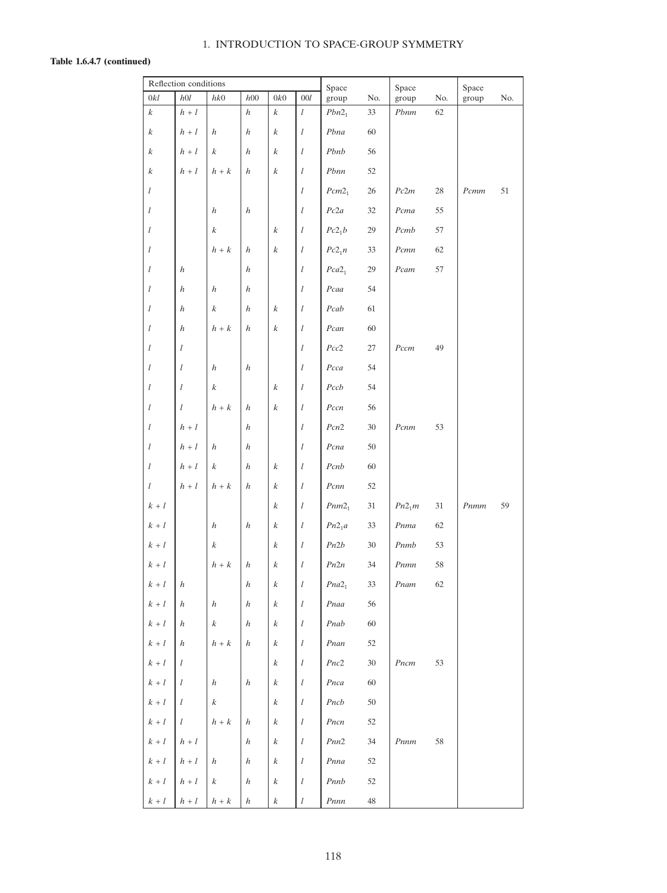# Table 1.6.4.7 (continued)

|                  | Reflection conditions |                                 |                  |                  |                  | Space              |             | Space    |     | Space |     |
|------------------|-----------------------|---------------------------------|------------------|------------------|------------------|--------------------|-------------|----------|-----|-------|-----|
| 0kl              | h0l                   | hk0                             | h00              | 0k0              | $00l$            | group              | No.         | group    | No. | group | No. |
| $\boldsymbol{k}$ | $h + l$               |                                 | $\boldsymbol{h}$ | $\boldsymbol{k}$ | $\boldsymbol{l}$ | Pbn2 <sub>1</sub>  | 33          | Pbnm     | 62  |       |     |
| $\boldsymbol{k}$ | $h + l$               | $\boldsymbol{h}$                | $\boldsymbol{h}$ | $\boldsymbol{k}$ | $\mathfrak{l}$   | Pbna               | 60          |          |     |       |     |
| $\boldsymbol{k}$ | $h + l$               | k                               | $\boldsymbol{h}$ | k                | l                | Pbnb               | 56          |          |     |       |     |
| $\boldsymbol{k}$ | $h+l$                 | $h + k$                         | $\boldsymbol{h}$ | $\boldsymbol{k}$ | l                | Pbnn               | 52          |          |     |       |     |
| l                |                       |                                 |                  |                  | $\mathfrak{l}$   | Pcm2 <sub>1</sub>  | $26\,$      | Pc2m     | 28  | Pcmm  | 51  |
| l                |                       | $\boldsymbol{h}$                | $\boldsymbol{h}$ |                  | l                | Pc2a               | 32          | Pcma     | 55  |       |     |
| $\iota$          |                       | $\boldsymbol{k}$                |                  | $\boldsymbol{k}$ | l                | Pc2 <sub>1</sub> b | 29          | Pcmb     | 57  |       |     |
| $\mathfrak{l}$   |                       | $h + k$                         | $\boldsymbol{h}$ | $\boldsymbol{k}$ | l                | $Pc2_1n$           | 33          | Pcmn     | 62  |       |     |
| l                | $\boldsymbol{h}$      |                                 | $\boldsymbol{h}$ |                  | l                | Pca2 <sub>1</sub>  | 29          | Pcam     | 57  |       |     |
| $\mathfrak{l}$   | $\boldsymbol{h}$      | $\boldsymbol{h}$                | $\boldsymbol{h}$ |                  | $\mathfrak{l}$   | Pcaa               | 54          |          |     |       |     |
| l                | $\boldsymbol{h}$      | $\boldsymbol{k}$                | $\boldsymbol{h}$ | $\boldsymbol{k}$ | l                | Pcab               | 61          |          |     |       |     |
| $\iota$          | $\boldsymbol{h}$      | $h + k$                         | $\boldsymbol{h}$ | $\boldsymbol{k}$ | l                | Pcan               | 60          |          |     |       |     |
| $\iota$          | l                     |                                 |                  |                  | $\mathfrak{l}$   | $Pcc2$             | $27\,$      | Pccm     | 49  |       |     |
| $\iota$          | l                     | $\boldsymbol{h}$                | $\boldsymbol{h}$ |                  | $\mathfrak{l}$   | Pcca               | 54          |          |     |       |     |
| $\mathfrak{l}$   | l                     | $\boldsymbol{k}$                |                  | $\boldsymbol{k}$ | l                | $Pccb$             | 54          |          |     |       |     |
| l                | l                     | $h + k$                         | $\boldsymbol{h}$ | $\boldsymbol{k}$ | l                | Pccn               | 56          |          |     |       |     |
| $\mathfrak{l}$   | $h+l$                 |                                 | $\boldsymbol{h}$ |                  | l                | Pcn2               | 30          | Pcnm     | 53  |       |     |
| $\mathfrak{l}$   | $h+l$                 | $\boldsymbol{h}$                | $\boldsymbol{h}$ |                  | $\mathfrak{l}$   | Pcna               | $50\,$      |          |     |       |     |
| l                | $h+l$                 | $\boldsymbol{k}$                | $\boldsymbol{h}$ | $\boldsymbol{k}$ | l                | Pcnb               | 60          |          |     |       |     |
| $\mathfrak{l}$   | $h+\mathfrak{l}$      | $h + k$                         | $\boldsymbol{h}$ | $\boldsymbol{k}$ | l                | $Pcnn$             | 52          |          |     |       |     |
| $k+l$            |                       |                                 |                  | $\boldsymbol{k}$ | l                | $Pnm2_1$           | 31          | $Pn2_1m$ | 31  | Pnmm  | 59  |
| $k+l$            |                       | $\boldsymbol{h}$                | $\boldsymbol{h}$ | $\boldsymbol{k}$ | l                | $Pn2_1a$           | 33          | Pnma     | 62  |       |     |
| $k+l$            |                       | $\boldsymbol{k}$                |                  | $\boldsymbol{k}$ | l                | $Pn2b$             | 30          | $Pnmb$   | 53  |       |     |
| $k+l\,$          |                       | $\boldsymbol{h}+\boldsymbol{k}$ | $\boldsymbol{h}$ | $\boldsymbol{k}$ | $\iota$          | $Pn2n$             | 34          | $Pnnn$   | 58  |       |     |
| $k+l\,$          | $\boldsymbol{h}$      |                                 | $\boldsymbol{h}$ | $\boldsymbol{k}$ | $\mathfrak l$    | Pna2 <sub>1</sub>  | 33          | $Pnam$   | 62  |       |     |
| $k+l$            | $\boldsymbol{h}$      | $\boldsymbol{h}$                | $\boldsymbol{h}$ | $\boldsymbol{k}$ | $\iota$          | Pnaa               | 56          |          |     |       |     |
| $k+l$            | $\boldsymbol{h}$      | $\boldsymbol{k}$                | $\boldsymbol{h}$ | $\boldsymbol{k}$ | $\iota$          | $Pnab$             | 60          |          |     |       |     |
| $k+l$            | $\boldsymbol{h}$      | $\boldsymbol{h}+\boldsymbol{k}$ | $\boldsymbol{h}$ | $\boldsymbol{k}$ | $\iota$          | $Pnan$             | 52          |          |     |       |     |
| $k+l$            | l                     |                                 |                  | $\boldsymbol{k}$ | $\iota$          | $Pnc2$             | $30\,$      | $Pncm$   | 53  |       |     |
| $k+l\,$          | l                     | $\boldsymbol{h}$                | $\boldsymbol{h}$ | $\boldsymbol{k}$ | $\iota$          | Pnca               | 60          |          |     |       |     |
| $k+l\,$          | l                     | $\boldsymbol{k}$                |                  | $\boldsymbol{k}$ | $\iota$          | Pncb               | $50\,$      |          |     |       |     |
| $k+l\,$          | l                     | $\boldsymbol{h}+\boldsymbol{k}$ | $\boldsymbol{h}$ | $\boldsymbol{k}$ | $\iota$          | $Pncn$             | 52          |          |     |       |     |
| $k+l\,$          | $h+\mathfrak{l}$      |                                 | $\boldsymbol{h}$ | $\boldsymbol{k}$ | $\iota$          | $Pnn2$             | 34          | $Pnnm$   | 58  |       |     |
| $k+l$            | $h+l\,$               | $\boldsymbol{h}$                | $\boldsymbol{h}$ | $\boldsymbol{k}$ | $\iota$          | $P$ nna            | 52          |          |     |       |     |
| $k+l\,$          | $h+l\,$               | $\boldsymbol{k}$                | $\boldsymbol{h}$ | $\boldsymbol{k}$ | $\iota$          | $Pnnb$             | 52          |          |     |       |     |
| $k+l$            | $h + l$               | $h + k$                         | $\boldsymbol{h}$ | $\boldsymbol{k}$ | $\iota$          | $Pnnn$             | $\sqrt{48}$ |          |     |       |     |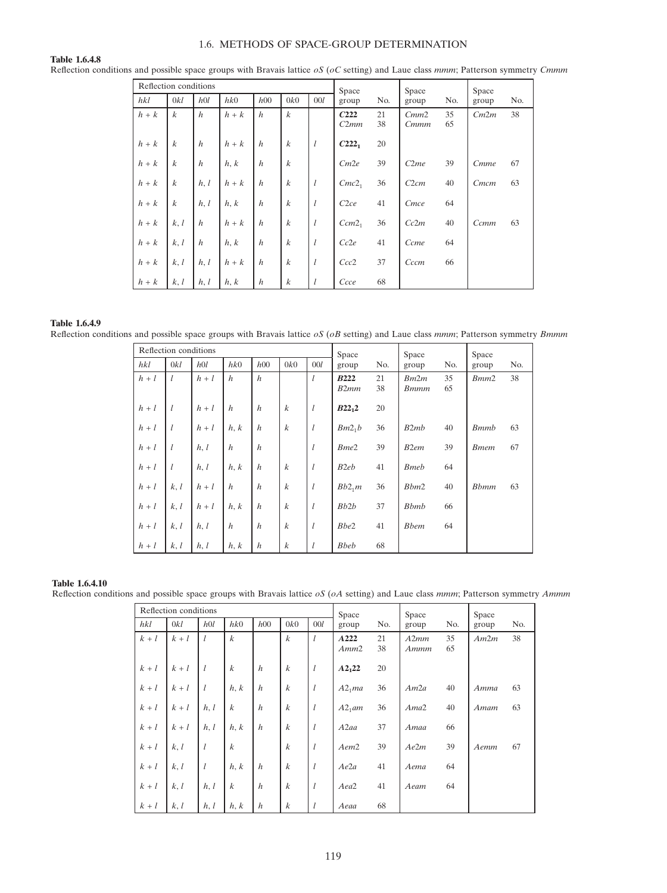# Table 1.6.4.8

Reflection conditions and possible space groups with Bravais lattice  $\delta$  ( $\delta C$  setting) and Laue class mmm; Patterson symmetry Cmmm

| Reflection conditions |                  |                  |       |                  |                  |     | Space             |          | Space        |          | Space |     |
|-----------------------|------------------|------------------|-------|------------------|------------------|-----|-------------------|----------|--------------|----------|-------|-----|
| hkl                   | 0kl              | h0l              | hk0   | h00              | 0k0              | 00l | group             | No.      | group        | No.      | group | No. |
| $h + k$               | $\boldsymbol{k}$ | $\boldsymbol{h}$ | $h+k$ | $\boldsymbol{h}$ | $\boldsymbol{k}$ |     | C222<br>C2mm      | 21<br>38 | Cmm2<br>Cmmm | 35<br>65 | Cm2m  | 38  |
| $h + k$               | $\boldsymbol{k}$ | $\boldsymbol{h}$ | $h+k$ | $\boldsymbol{h}$ | $\boldsymbol{k}$ | l   | $C222_1$          | 20       |              |          |       |     |
| $h + k$               | $\mathbf{k}$     | $\boldsymbol{h}$ | h, k  | $\boldsymbol{h}$ | $\boldsymbol{k}$ |     | Cm2e              | 39       | C2me         | 39       | Cmme  | 67  |
| $h + k$               | $\boldsymbol{k}$ | h, l             | $h+k$ | $\boldsymbol{h}$ | $\boldsymbol{k}$ | l   | Cmc2 <sub>1</sub> | 36       | C2cm         | 40       | Cmcm  | 63  |
| $h + k$               | $\mathbf{k}$     | h, l             | h, k  | $\boldsymbol{h}$ | $\boldsymbol{k}$ | l   | C2ce              | 41       | Cmce         | 64       |       |     |
| $h+k$                 | k, l             | $\boldsymbol{h}$ | $h+k$ | $\boldsymbol{h}$ | $\boldsymbol{k}$ | l   | Ccm2 <sub>1</sub> | 36       | Cc2m         | 40       | Ccmm  | 63  |
| $h+k$                 | k, l             | h                | h, k  | $\boldsymbol{h}$ | $\boldsymbol{k}$ | l   | Cc2e              | 41       | Ccme         | 64       |       |     |
| $h+k$                 | k, l             | h, l             | $h+k$ | $\boldsymbol{h}$ | $\boldsymbol{k}$ | l   | Ccc2              | 37       | Cccm         | 66       |       |     |
| $h+k$                 | k, l             | h, l             | h, k  | $\boldsymbol{h}$ | $\boldsymbol{k}$ | l   | Ccce              | 68       |              |          |       |     |

| <b>Table 1.6.4.9</b>                                                                                                             |
|----------------------------------------------------------------------------------------------------------------------------------|
| Reflection conditions and possible space groups with Bravais lattice oS (oB setting) and Laue class mmm; Patterson symmetry Bmmm |

|         | Reflection conditions |         |                  |                  |                  |               | Space               |          | Space                           |          | Space               |     |
|---------|-----------------------|---------|------------------|------------------|------------------|---------------|---------------------|----------|---------------------------------|----------|---------------------|-----|
| hkl     | 0kl                   | h0l     | hk0              | h00              | 0k0              | 00l           | group               | No.      | group                           | No.      | group               | No. |
| $h+l$   |                       | $h+l$   | $\boldsymbol{h}$ | $\boldsymbol{h}$ |                  | l             | <b>B222</b><br>B2mm | 21<br>38 | Bm2m<br><b>B</b> <sub>mmm</sub> | 35<br>65 | Bmm2                | 38  |
| $h+l$   |                       | $h + l$ | $\boldsymbol{h}$ | $\boldsymbol{h}$ | $\boldsymbol{k}$ | $\mathfrak l$ | $B22_12$            | 20       |                                 |          |                     |     |
| $h+l$   |                       | $h+l$   | h, k             | $\boldsymbol{h}$ | $\boldsymbol{k}$ | l             | Bm2 <sub>1</sub> b  | 36       | B2mb                            | 40       | <b>B</b> <i>mmb</i> | 63  |
| $h + l$ | $\iota$               | h, l    | $\boldsymbol{h}$ | $\boldsymbol{h}$ |                  | l             | B <sub>me</sub> 2   | 39       | B <sub>2em</sub>                | 39       | <b>B</b> <i>mem</i> | 67  |
| $h + l$ |                       | h, l    | h, k             | $\boldsymbol{h}$ | $\boldsymbol{k}$ | l             | B <sub>2eb</sub>    | 41       | <b>B</b> <i>meb</i>             | 64       |                     |     |
| $h+l$   | k, l                  | $h+l$   | $\boldsymbol{h}$ | $\boldsymbol{h}$ | $\boldsymbol{k}$ | l             | $Bb2_1m$            | 36       | Bbm2                            | 40       | <b>Bbmm</b>         | 63  |
| $h+l$   | k, l                  | $h+l$   | h, k             | $\boldsymbol{h}$ | $\boldsymbol{k}$ | l             | Bb2b                | 37       | <b>B</b> bmb                    | 66       |                     |     |
| $h+l$   | k, l                  | h, l    | $\boldsymbol{h}$ | $\boldsymbol{h}$ | $\boldsymbol{k}$ | l             | Bbe2                | 41       | <b>Bbem</b>                     | 64       |                     |     |
| $h+l$   | k, l                  | h, l    | h, k             | $\boldsymbol{h}$ | $\boldsymbol{k}$ | l             | <b>B</b> beb        | 68       |                                 |          |                     |     |

## Table 1.6.4.10

Reflection conditions and possible space groups with Bravais lattice oS (oA setting) and Laue class mmm; Patterson symmetry Ammm

|       | Reflection conditions |         |                  |                  |                  |                | Space            |          | Space        |          | Space |     |
|-------|-----------------------|---------|------------------|------------------|------------------|----------------|------------------|----------|--------------|----------|-------|-----|
| hkl   | 0kl                   | h0l     | hk0              | h00              | 0k0              | 00l            | group            | No.      | group        | No.      | group | No. |
| $k+l$ | $k+l$                 | l       | $\boldsymbol{k}$ |                  | $\boldsymbol{k}$ | I              | A222<br>Amm2     | 21<br>38 | A2mm<br>Ammm | 35<br>65 | Am2m  | 38  |
| $k+l$ | $k+l$                 | $\iota$ | $\boldsymbol{k}$ | $\boldsymbol{h}$ | $\boldsymbol{k}$ | $\iota$        | $A2_122$         | 20       |              |          |       |     |
| $k+l$ | $k+l$                 | $\iota$ | h, k             | $\boldsymbol{h}$ | $\boldsymbol{k}$ | l              | $A2_1ma$         | 36       | Am2a         | 40       | Amma  | 63  |
| $k+l$ | $k+l$                 | h, l    | $\boldsymbol{k}$ | $\boldsymbol{h}$ | $\boldsymbol{k}$ | $\mathfrak{l}$ | $A2_1$ am        | 36       | Ama2         | 40       | Amam  | 63  |
| $k+l$ | $k+l$                 | h, l    | h, k             | $\boldsymbol{h}$ | $\boldsymbol{k}$ | $\mathfrak{l}$ | A2aa             | 37       | Amaa         | 66       |       |     |
| $k+l$ | k, l                  | l       | $\boldsymbol{k}$ |                  | $\boldsymbol{k}$ | $\mathfrak l$  | Aem <sub>2</sub> | 39       | Ae2m         | 39       | Aemm  | 67  |
| $k+l$ | k, l                  | l       | h, k             | $\boldsymbol{h}$ | $\boldsymbol{k}$ | l              | Ae2a             | 41       | Aema         | 64       |       |     |
| $k+l$ | k, l                  | h, l    | $\boldsymbol{k}$ | $\boldsymbol{h}$ | $\boldsymbol{k}$ | $\mathfrak l$  | Aea2             | 41       | Aeam         | 64       |       |     |
| $k+l$ | k, l                  | h, l    | h, k             | $\boldsymbol{h}$ | $\boldsymbol{k}$ | $\mathfrak l$  | Aeaa             | 68       |              |          |       |     |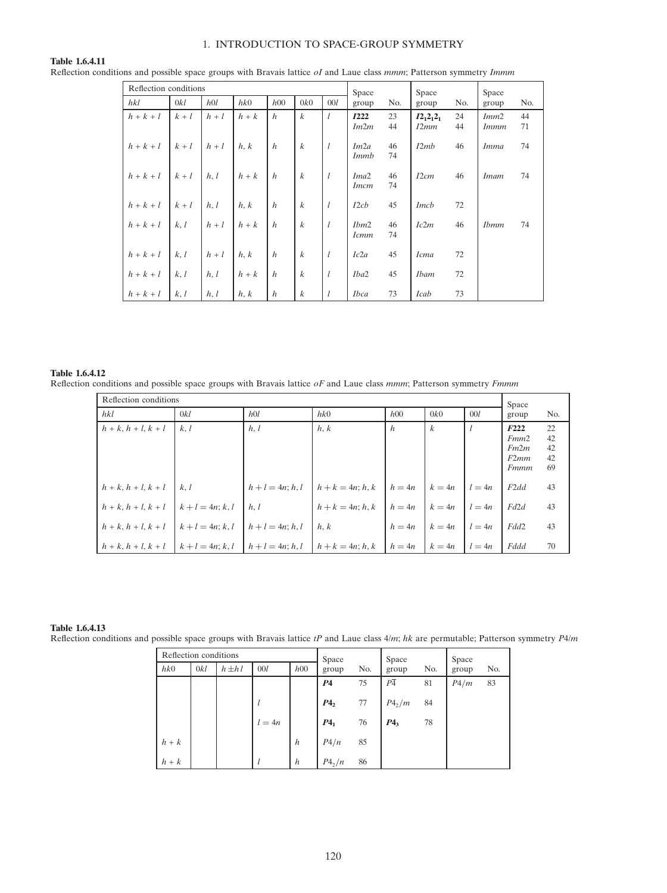# Table 1.6.4.11

|  |  |  |  | Reflection conditions and possible space groups with Bravais lattice oI and Laue class mmm; Patterson symmetry Immm |
|--|--|--|--|---------------------------------------------------------------------------------------------------------------------|
|--|--|--|--|---------------------------------------------------------------------------------------------------------------------|

| Reflection conditions |       |       |         |                  |                  |         | Space                           |          | Space                |          | Space        |          |
|-----------------------|-------|-------|---------|------------------|------------------|---------|---------------------------------|----------|----------------------|----------|--------------|----------|
| hkl                   | 0kl   | h0l   | hk0     | h00              | 0k0              | 00l     | group                           | No.      | group                | No.      | group        | No.      |
| $h+k+l$               | $k+l$ | $h+l$ | $h + k$ | $\boldsymbol{h}$ | $\boldsymbol{k}$ | l       | I222<br>Im2m                    | 23<br>44 | $I2_12_12_1$<br>I2mm | 24<br>44 | Imm2<br>Immm | 44<br>71 |
| $h+k+l$               | $k+l$ | $h+l$ | h, k    | $\boldsymbol{h}$ | $\boldsymbol{k}$ | l       | Im2a<br><i>Immb</i>             | 46<br>74 | I2mb                 | 46       | <i>Imma</i>  | 74       |
| $h+k+l$               | $k+l$ | h, l  | $h + k$ | $\boldsymbol{h}$ | $\boldsymbol{k}$ | l       | Ima <sub>2</sub><br><i>Imcm</i> | 46<br>74 | I2cm                 | 46       | <i>Imam</i>  | 74       |
| $h+k+l$               | $k+l$ | h, l  | h, k    | $\boldsymbol{h}$ | $\boldsymbol{k}$ | l       | I2cb                            | 45       | <i>Imcb</i>          | 72       |              |          |
| $h+k+l$               | k, l  | $h+l$ | $h + k$ | $\boldsymbol{h}$ | $\boldsymbol{k}$ | l       | Ibm2<br><i>Icmm</i>             | 46<br>74 | Ic2m                 | 46       | <b>Ibmm</b>  | 74       |
| $h+k+l$               | k, l  | $h+l$ | h, k    | $\boldsymbol{h}$ | $\boldsymbol{k}$ | l       | Ic2a                            | 45       | <i>Icma</i>          | 72       |              |          |
| $h+k+l$               | k, l  | h, l  | $h + k$ | $\boldsymbol{h}$ | $\boldsymbol{k}$ | $\iota$ | Iba2                            | 45       | <b>Ibam</b>          | 72       |              |          |
| $h+k+l$               | k, l  | h, l  | h, k    | $\boldsymbol{h}$ | $\boldsymbol{k}$ | l       | <b>Ibca</b>                     | 73       | Icab                 | 73       |              |          |

# Table 1.6.4.12

Reflection conditions and possible space groups with Bravais lattice  $oF$  and Laue class mmm; Patterson symmetry  $Fmmm$ 

| Reflection conditions |                  |                     |                     |                  |                  |          |                                                          |                            |  |
|-----------------------|------------------|---------------------|---------------------|------------------|------------------|----------|----------------------------------------------------------|----------------------------|--|
| hkl                   | 0kl              | h0l                 | h k0                | h00              | 0k0              | 00l      | Space<br>group                                           | No.                        |  |
| $h + k, h + l, k + l$ | k, l             | h, l                | h, k                | $\boldsymbol{h}$ | $\boldsymbol{k}$ | $\iota$  | F222<br>F <sub>mm2</sub><br>Fm2m<br>F2mm<br><b>F</b> mmm | 22<br>42<br>42<br>42<br>69 |  |
| $h + k, h + l, k + l$ | k, l             | $h + l = 4n; h, l$  | $h + k = 4n; h, k$  | $h = 4n$         | $k = 4n$         | $l = 4n$ | F2dd                                                     | 43                         |  |
| $h + k, h + l, k + l$ | $k+l = 4n; k, l$ | h, l                | $h + k = 4n$ ; h, k | $h = 4n$         | $k=4n$           | $l = 4n$ | Fd2d                                                     | 43                         |  |
| $h + k, h + l, k + l$ | $k+l = 4n; k, l$ | $h + l = 4n$ ; h, l | h, k                | $h = 4n$         | $k=4n$           | $l = 4n$ | Fdd2                                                     | 43                         |  |
| $h + k, h + l, k + l$ | $k+l = 4n; k, l$ | $h + l = 4n; h, l$  | $h + k = 4n$ ; h, k | $h=4n$           | $k=4n$           | $l = 4n$ | Fddd                                                     | 70                         |  |

Table 1.6.4.13 Reflection conditions and possible space groups with Bravais lattice  $tP$  and Laue class  $4/m$ ; hk are permutable; Patterson symmetry  $P4/m$ 

| Reflection conditions |     |             |          |                  | Space          |     | Space           |     | Space |     |
|-----------------------|-----|-------------|----------|------------------|----------------|-----|-----------------|-----|-------|-----|
| h k0                  | 0kl | $h \pm h l$ | 00l      | h00              | group          | No. | group           | No. | group | No. |
|                       |     |             |          |                  | P <sub>4</sub> | 75  | $P\overline{4}$ | 81  | P4/m  | 83  |
|                       |     |             |          |                  | $P_4$          | 77  | $P4_2/m$        | 84  |       |     |
|                       |     |             | $l = 4n$ |                  | $P_4$          | 76  | $P_3$           | 78  |       |     |
| $h+k$                 |     |             |          | $\boldsymbol{h}$ | P4/n           | 85  |                 |     |       |     |
| $h + k$               |     |             |          | $\boldsymbol{h}$ | $P4_2/n$       | 86  |                 |     |       |     |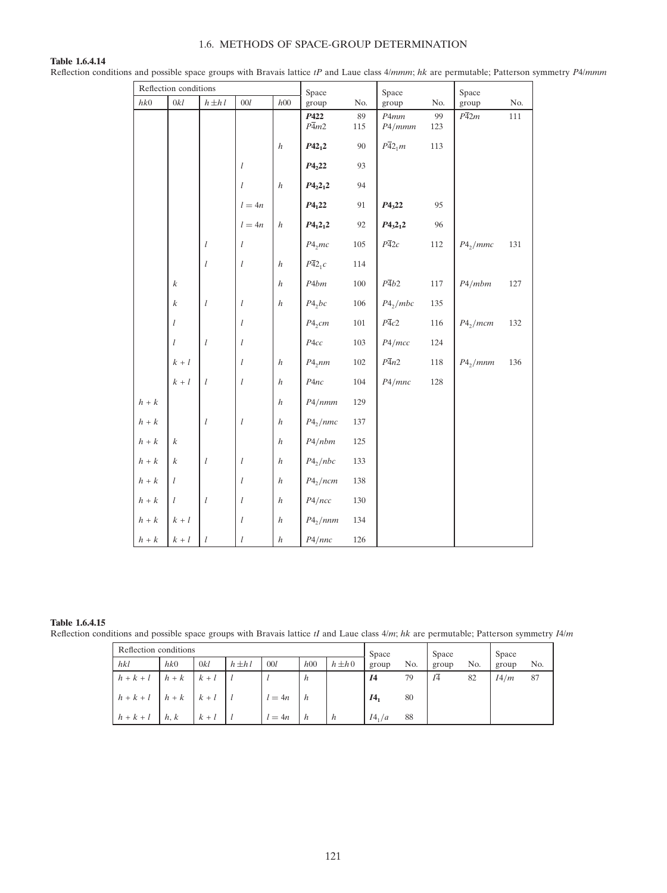# Table 1.6.4.14

Reflection conditions and possible space groups with Bravais lattice tP and Laue class 4/mmm; hk are permutable; Patterson symmetry P4/mmm

|                                 | Reflection conditions |                  |                  |                  | Space                     |           | Space               |           | Space                |     |
|---------------------------------|-----------------------|------------------|------------------|------------------|---------------------------|-----------|---------------------|-----------|----------------------|-----|
| hk0                             | 0kl                   | $h\pm h\,l$      | 00l              | h00              | group                     | No.       | group               | No.       | group                | No. |
|                                 |                       |                  |                  |                  | P422<br>$P\overline{4}m2$ | 89<br>115 | P4mm<br>P4/mmm      | 99<br>123 | $P\overline{4}2m$    | 111 |
|                                 |                       |                  |                  | $\boldsymbol{h}$ | $P42_12$                  | 90        | $P\overline{4}2_1m$ | 113       |                      |     |
|                                 |                       |                  | $\mathfrak{l}$   |                  | $P4_{2}22$                | 93        |                     |           |                      |     |
|                                 |                       |                  | l                | $\boldsymbol{h}$ | $P4_{2}2_{1}2$            | 94        |                     |           |                      |     |
|                                 |                       |                  | $l = 4n$         |                  | $P4_122$                  | 91        | $P4_{3}22$          | 95        |                      |     |
|                                 |                       |                  | $l = 4n$         | $\boldsymbol{h}$ | $P4_12_12$                | 92        | $P4_{3}2_{1}2$      | 96        |                      |     |
|                                 |                       | l                | $\mathfrak{l}$   |                  | P4 <sub>2</sub> mc        | 105       | $P\overline{4}2c$   | $112\,$   | P4 <sub>2</sub> /mmc | 131 |
|                                 |                       | $\boldsymbol{l}$ | l                | $\boldsymbol{h}$ | $P\overline{4}2_1c$       | 114       |                     |           |                      |     |
|                                 | $\boldsymbol{k}$      |                  |                  | $\boldsymbol{h}$ | $P4bm$                    | $100\,$   | $P\overline{4}b2$   | $117\,$   | P4/mbm               | 127 |
|                                 | $\boldsymbol{k}$      | l                | $\mathfrak{l}$   | $\boldsymbol{h}$ | $P4_2bc$                  | 106       | $P4_2/mbc$          | 135       |                      |     |
|                                 | $\mathfrak{l}$        |                  | $\boldsymbol{l}$ |                  | P4 <sub>2</sub> cm        | $101\,$   | $P\overline{4}c2$   | 116       | $P4_2/mcm$           | 132 |
|                                 | l                     | l                | l                |                  | $P4cc$                    | $103\,$   | P4/mcc              | 124       |                      |     |
|                                 | $k+l\,$               |                  | $\boldsymbol{l}$ | $\boldsymbol{h}$ | P4 <sub>2</sub> nm        | $102\,$   | $P\overline{4}n2$   | 118       | $P4_2/mnm$           | 136 |
|                                 | $k+l\,$               | l                | $\mathfrak{l}$   | $\boldsymbol{h}$ | P4nc                      | $104\,$   | P4/mnc              | $128\,$   |                      |     |
| $h + k$                         |                       |                  |                  | $\boldsymbol{h}$ | P4/nmm                    | 129       |                     |           |                      |     |
| $h + k$                         |                       | $\mathfrak l$    | $\mathfrak{l}$   | $\boldsymbol{h}$ | $P4_2/nmc$                | 137       |                     |           |                      |     |
| $h + k$                         | $\boldsymbol{k}$      |                  |                  | $\boldsymbol{h}$ | P4/nbm                    | 125       |                     |           |                      |     |
| $\boldsymbol{h}+\boldsymbol{k}$ | $\boldsymbol{k}$      | $\boldsymbol{l}$ | $\boldsymbol{l}$ | $\boldsymbol{h}$ | $P4_2/hbc$                | 133       |                     |           |                      |     |
| $h+\boldsymbol{k}$              | $\mathfrak{l}$        |                  | $\boldsymbol{l}$ | $\boldsymbol{h}$ | $P4_2/ncm$                | 138       |                     |           |                      |     |
| $h + k$                         | l                     | l                | l                | $\boldsymbol{h}$ | P4/ncc                    | 130       |                     |           |                      |     |
| $h + k$                         | $k+l$                 |                  | l                | $\boldsymbol{h}$ | $P4_2/nnm$                | 134       |                     |           |                      |     |
| $h+\boldsymbol{k}$              | $k+l\,$               | $\boldsymbol{l}$ | $\boldsymbol{l}$ | $\boldsymbol{h}$ | P4/nnc                    | 126       |                     |           |                      |     |

Table 1.6.4.15 Reflection conditions and possible space groups with Bravais lattice  $tI$  and Laue class  $4/m$ ; hk are permutable; Patterson symmetry  $I4/m$ 

|         | Reflection conditions |       |             |          |     |             |                 |     | Space          |     | Space |     |
|---------|-----------------------|-------|-------------|----------|-----|-------------|-----------------|-----|----------------|-----|-------|-----|
| hkl     | h k0                  | 0kl   | $h \pm h l$ | 00l      | h00 | $h \pm h$ 0 | Space<br>group  | No. | group          | No. | group | No. |
| $h+k+l$ | $h+k$                 | $k+l$ |             |          | h   |             | <i>I</i> 4      | 79  | I <sub>4</sub> | 82  | I4/m  | 87  |
| $h+k+l$ | $h+k$                 | $k+l$ |             | $l = 4n$ | h   |             | I4 <sub>1</sub> | 80  |                |     |       |     |
| $h+k+l$ | h, k                  | $k+l$ |             | $l = 4n$ | h   | h           | $I4_1/a$        | 88  |                |     |       |     |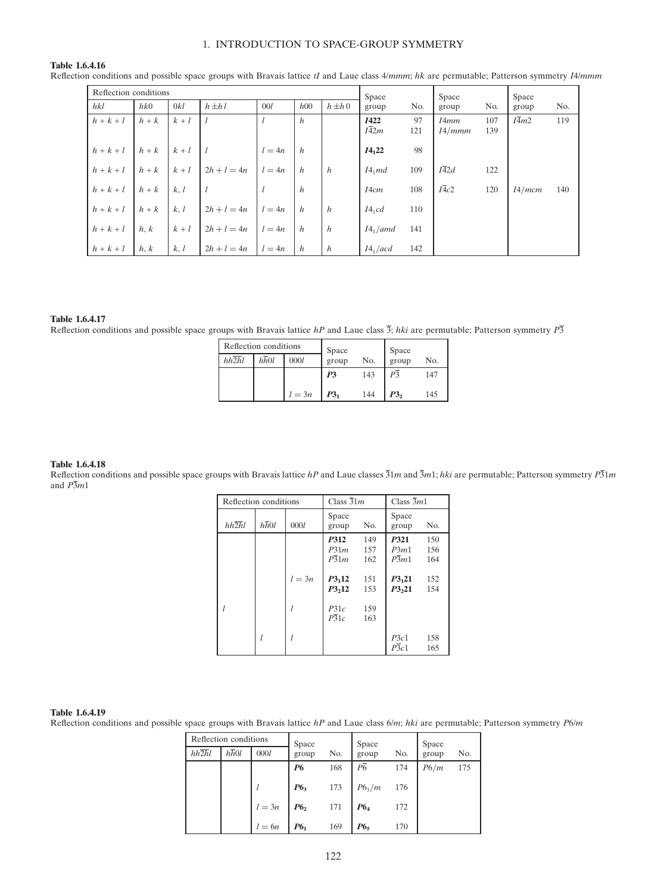# Table 1.6.4.16

Reflection conditions and possible space groups with Bravais lattice tI and Laue class 4/mmm; hk are permutable; Patterson symmetry I4/mmm

|         | Reflection conditions |       |               |          |                  |                  | Space                            |           | Space             |            | Space             |     |
|---------|-----------------------|-------|---------------|----------|------------------|------------------|----------------------------------|-----------|-------------------|------------|-------------------|-----|
| hkl     | hk0                   | 0kl   | $h \pm h l$   | 00l      | h00              | $h \pm h$ 0      | group                            | No.       | group             | No.        | group             | No. |
| $h+k+l$ | $h+k$                 | $k+l$ |               |          | $\boldsymbol{h}$ |                  | <b>1422</b><br>$I\overline{4}2m$ | 97<br>121 | I4mm<br>I4/mmm    | 107<br>139 | $I\overline{4}m2$ | 119 |
| $h+k+l$ | $h+k$                 | $k+l$ |               | $l = 4n$ | $\boldsymbol{h}$ |                  | $I4_122$                         | 98        |                   |            |                   |     |
| $h+k+l$ | $h+k$                 | $k+l$ | $2h + l = 4n$ | $l = 4n$ | $\boldsymbol{h}$ | $\boldsymbol{h}$ | $I4_1md$                         | 109       | $I\overline{4}2d$ | 122        |                   |     |
| $h+k+l$ | $h+k$                 | k, l  |               |          | $\boldsymbol{h}$ |                  | I4cm                             | 108       | $I\overline{4}c2$ | 120        | I4/mcm            | 140 |
| $h+k+l$ | $h+k$                 | k, l  | $2h + l = 4n$ | $l = 4n$ | $\boldsymbol{h}$ | $\boldsymbol{h}$ | $I4_1cd$                         | 110       |                   |            |                   |     |
| $h+k+l$ | h, k                  | $k+l$ | $2h + l = 4n$ | $l = 4n$ | $\boldsymbol{h}$ | $\boldsymbol{h}$ | $I4_1$ /amd                      | 141       |                   |            |                   |     |
| $h+k+l$ | h, k                  | k, l  | $2h + l = 4n$ | $l = 4n$ | h                | $\boldsymbol{h}$ | $I4_1/acd$                       | 142       |                   |            |                   |     |

## Table 1.6.4.17

Reflection conditions and possible space groups with Bravais lattice  $hP$  and Laue class  $\overline{3}$ ; hki are permutable; Patterson symmetry  $P\overline{3}$ 

| Reflection conditions |      |          | Space           |     | Space          |     |
|-----------------------|------|----------|-----------------|-----|----------------|-----|
| hh2hl                 | hh0l | 0001     | group           | No. | group          | No. |
|                       |      |          | P <sub>3</sub>  | 143 | P <sub>3</sub> | 147 |
|                       |      | $l = 3n$ | P3 <sub>1</sub> | 144 | P3,            | 145 |

#### Table 1.6.4.18

Reflection conditions and possible space groups with Bravais lattice hP and Laue classes  $\overline{31}m$  and  $\overline{3}m1$ ; hki are permutable; Patterson symmetry  $\overline{P31}m$ and  $P\overline{3}m1$ 

|       | Reflection conditions |          |                           | Class $\overline{3}1m$ | Class $\overline{3}m1$ |                   |  |
|-------|-----------------------|----------|---------------------------|------------------------|------------------------|-------------------|--|
| hh2hl | $h\overline{h}0l$     | 000l     | Space<br>No.<br>group     |                        | Space<br>group         | No.               |  |
|       |                       |          | P312<br>P31m<br>P31m      | 149<br>157<br>162      | P321<br>P3m1<br>P3m1   | 150<br>156<br>164 |  |
|       |                       | $l = 3n$ | $P3_112$<br>P3,12         | 151<br>153             | $P3_121$<br>P3,21      | 152<br>154        |  |
|       |                       |          | P31c<br>$\overline{P}31c$ | 159<br>163             |                        |                   |  |
|       |                       |          |                           |                        | P3c1<br>P3c1           | 158<br>165        |  |

### Table 1.6.4.19

Reflection conditions and possible space groups with Bravais lattice  $hP$  and Laue class  $6/m$ ; hki are permutable; Patterson symmetry  $P6/m$ 

|       | Reflection conditions |          | Space           |     | Space           |     | Space |     |
|-------|-----------------------|----------|-----------------|-----|-----------------|-----|-------|-----|
| hh2hl | hh0l                  | 0001     | group           | No. | group           | No. | group | No. |
|       |                       |          | <b>P6</b>       | 168 | $\overline{P6}$ | 174 | P6/m  | 175 |
|       |                       |          | P6 <sub>3</sub> | 173 | $P6_3/m$        | 176 |       |     |
|       |                       | $l=3n$   | P6 <sub>2</sub> | 171 | P6 <sub>4</sub> | 172 |       |     |
|       |                       | $l = 6n$ | P6 <sub>1</sub> | 169 | $P6_5$          | 170 |       |     |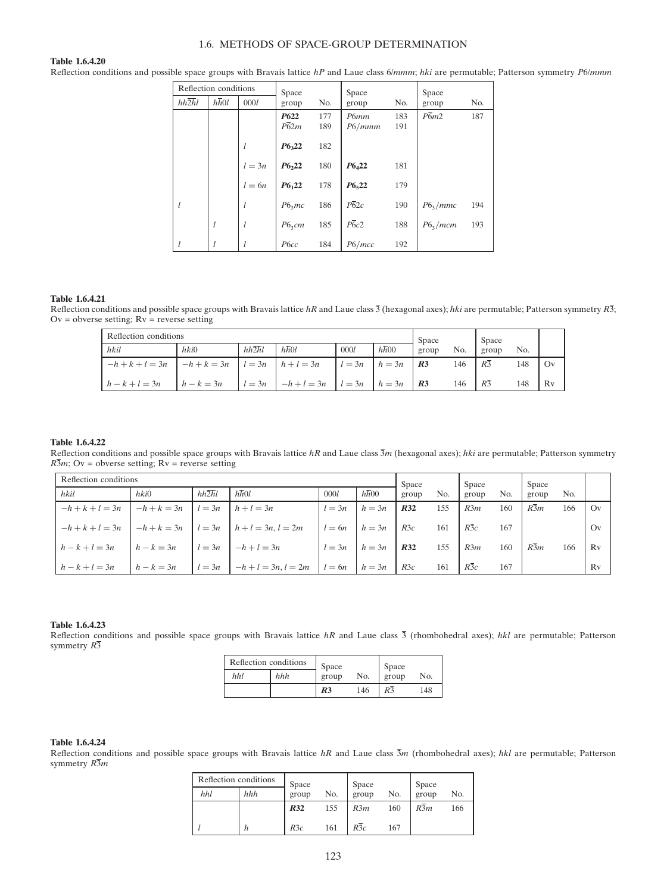### Table 1.6.4.20

Reflection conditions and possible space groups with Bravais lattice  $hP$  and Laue class 6/mmm; hki are permutable; Patterson symmetry P6/mmm

|                    | Reflection conditions |               | Space              |            | Space             |            | Space             |     |
|--------------------|-----------------------|---------------|--------------------|------------|-------------------|------------|-------------------|-----|
| $hh\overline{2h}l$ | $h\overline{h}0l$     | 0001          | group              | No.        | group             | No.        | group             | No. |
|                    |                       |               | P622<br>P62m       | 177<br>189 | P6mm<br>P6/mmm    | 183<br>191 | $P\overline{6}m2$ | 187 |
|                    |                       | l             | P6,22              | 182        |                   |            |                   |     |
|                    |                       | $l = 3n$      | P6,22              | 180        | $P6_{4}22$        | 181        |                   |     |
|                    |                       | $l = 6n$      | P6 <sub>1</sub> 22 | 178        | $P6_{5}22$        | 179        |                   |     |
| l                  |                       | $\mathfrak l$ | P6 <sub>3</sub> mc | 186        | $\overline{P62c}$ | 190        | $P6_3/mmc$        | 194 |
|                    | $\mathfrak l$         | l             | $P6_3cm$           | 185        | $P\overline{6}c2$ | 188        | $P6_2/mcm$        | 193 |
| l                  | $\iota$               |               | P <sub>6</sub> cc  | 184        | P6/mcc            | 192        |                   |     |

# Table 1.6.4.21

Reflection conditions and possible space groups with Bravais lattice hR and Laue class  $\overline{3}$  (hexagonal axes); hki are permutable; Patterson symmetry  $R\overline{3}$ ;  $Ov = \text{observe setting}; Rv = \text{reverse setting}$ 

|                  | Reflection conditions      |          |                   |          |                   |                |     |                | Space |    |
|------------------|----------------------------|----------|-------------------|----------|-------------------|----------------|-----|----------------|-------|----|
| hkil             | hki0                       | hh2hl    | $h\overline{h}0l$ | 000      | $h\overline{h}00$ | Space<br>group | No. | group          | No.   |    |
| $-h+k+l=3n$      | $l-h+k=3n$ $l=3n$ $h+l=3n$ |          |                   | $l = 3n$ | $h=3n$            | R3             | 146 | R <sub>3</sub> | 148   | Ov |
| $h - k + l = 3n$ | $h-k=3n$                   | $l = 3n$ | $-h+l=3n$ $l=3n$  |          | $h=3n$            | R3             | 146 | R <sub>3</sub> | 148   | Rv |

### Table 1.6.4.22

Reflection conditions and possible space groups with Bravais lattice hR and Laue class  $\overline{3}m$  (hexagonal axes); hki are permutable; Patterson symmetry  $R\overline{3}m$ ; Ov = obverse setting; Rv = reverse setting

|                  | Reflection conditions |          |                      |          |                   |                |     |       | Space |                  | Space |    |
|------------------|-----------------------|----------|----------------------|----------|-------------------|----------------|-----|-------|-------|------------------|-------|----|
| hkil             | hki0                  | hh2hl    | hh0l                 | 0001     | $h\overline{h}00$ | Space<br>group | No. | group | No.   | group            | No.   |    |
| $-h+k+l=3n$      | $-h+k=3n$             | $l = 3n$ | $h+l=3n$             | $l = 3n$ | $h=3n$            | R32            | 155 | R3m   | 160   | R3m              | 166   | Ov |
| $-h+k+l=3n$      | $-h+k=3n$             | $l = 3n$ | $h + l = 3n, l = 2m$ | $l = 6n$ | $h = 3n$          | R3c            | 161 | R3c   | 167   |                  |       | Ov |
| $h - k + l = 3n$ | $h-k=3n$              | $l = 3n$ | $-h+l=3n$            | $l=3n$   | $h = 3n$          | R32            | 155 | R3m   | 160   | $R\overline{3}m$ | 166   | Rv |
| $h - k + l = 3n$ | $h - k = 3n$          | $l = 3n$ | $-h+l = 3n, l = 2m$  | $l = 6n$ | $h = 3n$          | R3c            | 161 | R3c   | 167   |                  |       | Rv |

### Table 1.6.4.23

Reflection conditions and possible space groups with Bravais lattice  $hR$  and Laue class  $\overline{3}$  (rhombohedral axes);  $hkl$  are permutable; Patterson symmetry  $R\overline{3}$  $\overline{a}$ 

| Reflection conditions |     | Space          |     | Space          |     |
|-----------------------|-----|----------------|-----|----------------|-----|
| hhl                   | hhh | group          | No. | group          | No. |
|                       |     | R <sub>3</sub> | 146 | R <sub>3</sub> | 148 |

### Table 1.6.4.24

Reflection conditions and possible space groups with Bravais lattice hR and Laue class  $\overline{3}m$  (rhombohedral axes); hkl are permutable; Patterson symmetry  $R\overline{3}m$ 

| Reflection conditions |     | Space |     | Space            |     | Space |     |
|-----------------------|-----|-------|-----|------------------|-----|-------|-----|
| hhl                   | hhh | group | No. | group            | No. | group | No. |
|                       |     | R32   | 155 | R3m              | 160 | R3m   | 166 |
|                       | n   | R3c   | 161 | $R\overline{3}c$ | 167 |       |     |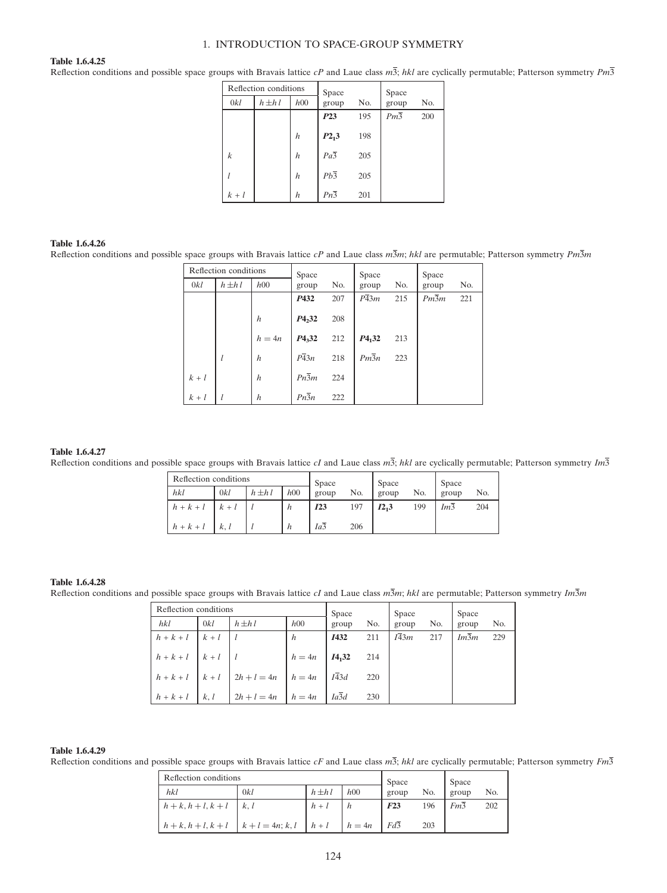### Table 1.6.4.25

Reflection conditions and possible space groups with Bravais lattice cP and Laue class  $m\overline{3}$ ; hkl are cyclically permutable; Patterson symmetry  $Pm\overline{3}$ 

| Reflection conditions |             |     | Space            |     | Space            |     |  |  |
|-----------------------|-------------|-----|------------------|-----|------------------|-----|--|--|
| 0kl                   | $h \pm h l$ | h00 | group            | No. | No.<br>group     |     |  |  |
|                       |             |     | P23              | 195 | $Pm\overline{3}$ | 200 |  |  |
|                       |             | h   | $P2_{1}3$        | 198 |                  |     |  |  |
| k                     |             | h   | $Pa\overline{3}$ | 205 |                  |     |  |  |
|                       |             | h   | $Pb\overline{3}$ | 205 |                  |     |  |  |
| $k+l$                 |             | h   | Pn3              | 201 |                  |     |  |  |

### Table 1.6.4.26

Reflection conditions and possible space groups with Bravais lattice  $cP$  and Laue class  $m\overline{3}m$ ; hkl are permutable; Patterson symmetry  $Pm\overline{3}m$ 

|       | Reflection conditions |                  | Space             |     | Space             |     | Space             |     |
|-------|-----------------------|------------------|-------------------|-----|-------------------|-----|-------------------|-----|
| 0kl   | $h \pm h l$           | h00              | group             | No. | group             | No. | group             | No. |
|       |                       |                  | P432              | 207 | $P\overline{4}3m$ | 215 | $Pm\overline{3}m$ | 221 |
|       |                       | $\boldsymbol{h}$ | $P4_{2}32$        | 208 |                   |     |                   |     |
|       |                       | $h=4n$           | $P_{4,32}$        | 212 | $P4_{1}32$        | 213 |                   |     |
|       | l                     | $\boldsymbol{h}$ | $P\overline{4}3n$ | 218 | $Pm\overline{3}n$ | 223 |                   |     |
| $k+l$ |                       | $\boldsymbol{h}$ | $Pn\overline{3}m$ | 224 |                   |     |                   |     |
| $k+l$ |                       | $\boldsymbol{h}$ | $Pn\overline{3}n$ | 222 |                   |     |                   |     |

### Table 1.6.4.27

Reflection conditions and possible space groups with Bravais lattice cI and Laue class  $m\overline{3}$ ; hkl are cyclically permutable; Patterson symmetry  $Im\overline{3}$ 

| Reflection conditions |       |             | Space |                  | Space |                   | Space |       |     |
|-----------------------|-------|-------------|-------|------------------|-------|-------------------|-------|-------|-----|
| hkl                   | 0kl   | $h \pm h l$ | h00   | group            | No.   | group             | No.   | group | No. |
| $h+k+l$               | $k+l$ |             | h     | I23              | 197   | I2 <sub>1</sub> 3 | 199   | Im3   | 204 |
| $h+k+l$               | k, l  |             | h     | $Ia\overline{3}$ | 206   |                   |       |       |     |

### Table 1.6.4.28

Reflection conditions and possible space groups with Bravais lattice cI and Laue class  $m\overline{3}m$ ; hkl are permutable; Patterson symmetry  $Im\overline{3}m$ 

| Reflection conditions |       |                                            |                     | Space             |     | Space             |     | Space             |     |
|-----------------------|-------|--------------------------------------------|---------------------|-------------------|-----|-------------------|-----|-------------------|-----|
| hkl                   | 0kl   | $h \pm h l$                                | h00                 | group             | No. | group             | No. | group             | No. |
| $h+k+l$               | $k+l$ |                                            | $\boldsymbol{h}$    | <b>I432</b>       | 211 | $I\overline{4}3m$ | 217 | $Im\overline{3}m$ | 229 |
| $h+k+l$ $k+l$ $l$     |       |                                            | $h = 4n$   $I4_132$ |                   | 214 |                   |     |                   |     |
|                       |       | $h + k + l$ $k + l$ $2h + l = 4n$ $h = 4n$ |                     | $I\overline{4}3d$ | 220 |                   |     |                   |     |
| $h+k+l$               | k, l  | $2h + l = 4n$                              | $h = 4n$            | Ia3d              | 230 |                   |     |                   |     |

# Table 1.6.4.29

Reflection conditions and possible space groups with Bravais lattice  $cF$  and Laue class  $m\overline{3}$ ; hkl are cyclically permutable; Patterson symmetry  $Fm\overline{3}$ 

| Reflection conditions                        |      | Space       |          | Space            |     |       |     |
|----------------------------------------------|------|-------------|----------|------------------|-----|-------|-----|
| hkl                                          | 0kl  | $h \pm h l$ | h00      | group            | No. | group | No. |
| $h+k, h+l, k+l$                              | k, l | $h+l$       |          | F23              | 196 | Fm3   | 202 |
| $h+k, h+l, k+l \mid k+l = 4n; k, l \mid h+l$ |      |             | $h = 4n$ | $Fd\overline{3}$ | 203 |       |     |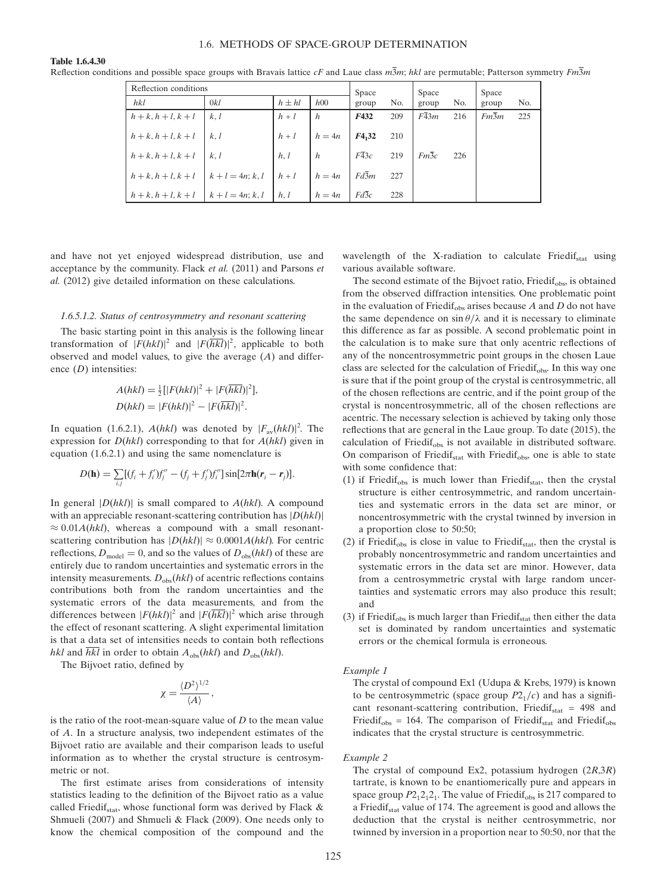#### Table 1.6.4.30

| Reflection conditions               |                  |            |                  | Space             |     | Space             |     | Space |     |
|-------------------------------------|------------------|------------|------------------|-------------------|-----|-------------------|-----|-------|-----|
| hkl                                 | 0kl              | $h \pm hl$ | h00              | group             | No. | group             | No. | group | No. |
| $h + k, h + l, k + l$               | k, l             | $h+l$      | h                | F432              | 209 | $F\overline{4}3m$ | 216 | Fm3m  | 225 |
| $h + k, h + l, k + l$               | k, l             | $h+l$      | $h=4n$           | F4.32             | 210 |                   |     |       |     |
| $h + k, h + l, k + l$               | k, l             | h, l       | $\boldsymbol{h}$ | F43c              | 219 | Fm3c              | 226 |       |     |
| $h + k, h + l, k + l$               | $k+l = 4n; k, l$ | $h+l$      | $h=4n$           | $Fd\overline{3}m$ | 227 |                   |     |       |     |
| $h+k, h+l, k+l \mid k+l = 4n; k, l$ |                  | h, l       | $h=4n$           | Fd3c              | 228 |                   |     |       |     |

Reflection conditions and possible space groups with Bravais lattice  $cF$  and Laue class  $m\bar{3}m$ ; hkl are permutable; Patterson symmetry  $Fm\bar{3}m$ 

and have not yet enjoyed widespread distribution, use and acceptance by the community. Flack et al. (2011) and Parsons et al. (2012) give detailed information on these calculations.

## 1.6.5.1.2. Status of centrosymmetry and resonant scattering

The basic starting point in this analysis is the following linear transformation of  $|F(hkl)|^2$  and  $|F(\overline{hkl})|^2$ , applicable to both observed and model values, to give the average  $(A)$  and difference (D) intensities:

$$
A(hkl) = \frac{1}{2} [ |F(hkl)|^2 + |F(\overline{hkl})|^2 ],
$$
  
 
$$
D(hkl) = |F(hkl)|^2 - |F(\overline{hkl})|^2.
$$

In equation (1.6.2.1),  $A(hkl)$  was denoted by  $|F_{av}(hkl)|^2$ . The expression for  $D(hkl)$  corresponding to that for  $A(hkl)$  given in equation (1.6.2.1) and using the same nomenclature is

$$
D(\mathbf{h}) = \sum_{i,j} [(f_i + f'_i)f''_j - (f_j + f'_j)f''_i] \sin[2\pi \mathbf{h}(\mathbf{r}_i - \mathbf{r}_j)].
$$

In general  $|D(hkl)|$  is small compared to  $A(hkl)$ . A compound with an appreciable resonant-scattering contribution has  $|D(hkl)|$  $\approx 0.01A(hkl)$ , whereas a compound with a small resonantscattering contribution has  $|D(hkl)| \approx 0.0001A(hkl)$ . For centric reflections,  $D_{\text{model}} = 0$ , and so the values of  $D_{\text{obs}}(hkl)$  of these are entirely due to random uncertainties and systematic errors in the intensity measurements.  $D_{obs}(hkl)$  of acentric reflections contains contributions both from the random uncertainties and the systematic errors of the data measurements, and from the differences between  $|F(hkl)|^2$  and  $|F(\overline{hkl})|^2$  which arise through the effect of resonant scattering. A slight experimental limitation is that a data set of intensities needs to contain both reflections hkl and  $\overline{hkl}$  in order to obtain  $A_{obs}(hkl)$  and  $D_{obs}(hkl)$ .

The Bijvoet ratio, defined by

$$
\chi = \frac{\langle D^2 \rangle^{1/2}}{\langle A \rangle},
$$

is the ratio of the root-mean-square value of  $D$  to the mean value of A. In a structure analysis, two independent estimates of the Bijvoet ratio are available and their comparison leads to useful information as to whether the crystal structure is centrosymmetric or not.

The first estimate arises from considerations of intensity statistics leading to the definition of the Bijvoet ratio as a value called Friedif<sub>stat</sub>, whose functional form was derived by Flack  $\&$ Shmueli (2007) and Shmueli & Flack (2009). One needs only to know the chemical composition of the compound and the wavelength of the X-radiation to calculate Friedi $f_{\text{stat}}$  using various available software.

The second estimate of the Bijvoet ratio, Friedi $f_{obs}$ , is obtained from the observed diffraction intensities. One problematic point in the evaluation of Friedi $f_{obs}$  arises because A and D do not have the same dependence on  $\sin \theta / \lambda$  and it is necessary to eliminate this difference as far as possible. A second problematic point in the calculation is to make sure that only acentric reflections of any of the noncentrosymmetric point groups in the chosen Laue class are selected for the calculation of  $Friedif<sub>obs</sub>$ . In this way one is sure that if the point group of the crystal is centrosymmetric, all of the chosen reflections are centric, and if the point group of the crystal is noncentrosymmetric, all of the chosen reflections are acentric. The necessary selection is achieved by taking only those reflections that are general in the Laue group. To date (2015), the calculation of Friedi $f_{obs}$  is not available in distributed software. On comparison of Friedi $f_{\text{stat}}$  with Friedi $f_{\text{obs}}$ , one is able to state with some confidence that:

- (1) if Friedif<sub>obs</sub> is much lower than Friedif<sub>stat</sub>, then the crystal structure is either centrosymmetric, and random uncertainties and systematic errors in the data set are minor, or noncentrosymmetric with the crystal twinned by inversion in a proportion close to 50:50;
- (2) if Friedi $f_{obs}$  is close in value to Friedi $f_{stat}$ , then the crystal is probably noncentrosymmetric and random uncertainties and systematic errors in the data set are minor. However, data from a centrosymmetric crystal with large random uncertainties and systematic errors may also produce this result; and
- (3) if Friedi $f_{obs}$  is much larger than Friedi $f_{stat}$  then either the data set is dominated by random uncertainties and systematic errors or the chemical formula is erroneous.

## Example 1

The crystal of compound Ex1 (Udupa & Krebs, 1979) is known to be centrosymmetric (space group  $P2<sub>1</sub>/c$ ) and has a significant resonant-scattering contribution, Friedif<sub>stat</sub> = 498 and Friedif<sub>obs</sub> = 164. The comparison of Friedif<sub>stat</sub> and Friedif<sub>obs</sub> indicates that the crystal structure is centrosymmetric.

### Example 2

The crystal of compound Ex2, potassium hydrogen  $(2R,3R)$ tartrate, is known to be enantiomerically pure and appears in space group  $P2_12_12_1$ . The value of Friedif<sub>obs</sub> is 217 compared to a Friedifstat value of 174. The agreement is good and allows the deduction that the crystal is neither centrosymmetric, nor twinned by inversion in a proportion near to 50:50, nor that the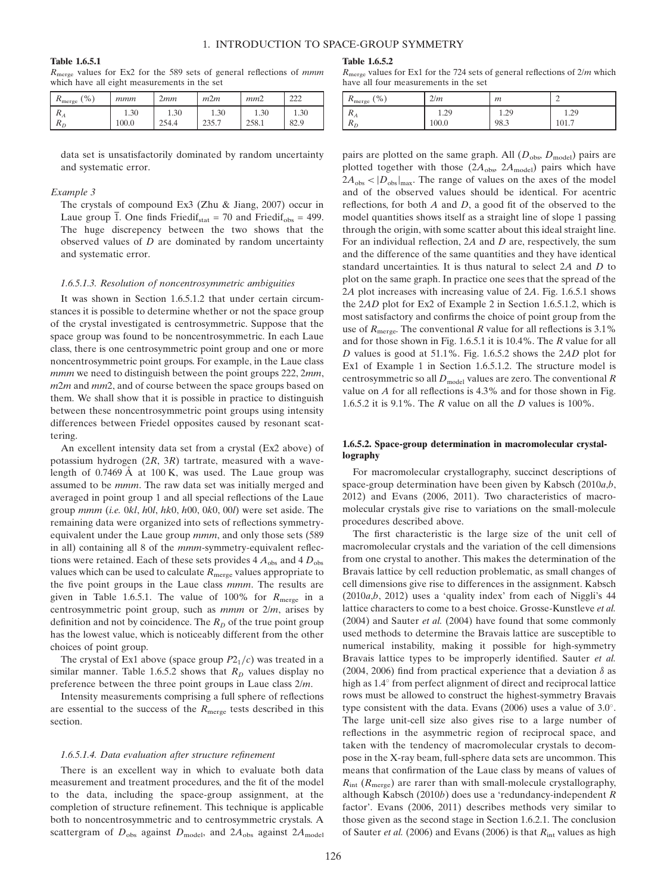#### Table 1.6.5.1

 $R_{\text{merge}}$  values for Ex2 for the 589 sets of general reflections of mmm which have all eight measurements in the set

| ( %)<br>$R_{\text{merge}}$ | mmm       | 2mm   | m2m   | mm2   | $\mathcal{Q}$<br>∠∠∠ |
|----------------------------|-----------|-------|-------|-------|----------------------|
| $R_A$                      | 1.30      | 1.30  | 1.30  | 1.30  | 1.30                 |
| $R_D$                      | $100.0\,$ | 254.4 | 235.7 | 258.1 | 82.9                 |

data set is unsatisfactorily dominated by random uncertainty and systematic error.

#### Example 3

The crystals of compound Ex3 (Zhu & Jiang, 2007) occur in Laue group  $\overline{1}$ . One finds Friedif<sub>stat</sub> = 70 and Friedif<sub>obs</sub> = 499. The huge discrepency between the two shows that the observed values of  $D$  are dominated by random uncertainty and systematic error.

## 1.6.5.1.3. Resolution of noncentrosymmetric ambiguities

It was shown in Section 1.6.5.1.2 that under certain circumstances it is possible to determine whether or not the space group of the crystal investigated is centrosymmetric. Suppose that the space group was found to be noncentrosymmetric. In each Laue class, there is one centrosymmetric point group and one or more noncentrosymmetric point groups. For example, in the Laue class mmm we need to distinguish between the point groups 222, 2mm, m2m and mm2, and of course between the space groups based on them. We shall show that it is possible in practice to distinguish between these noncentrosymmetric point groups using intensity differences between Friedel opposites caused by resonant scattering.

An excellent intensity data set from a crystal (Ex2 above) of potassium hydrogen (2R, 3R) tartrate, measured with a wavelength of  $0.7469 \text{ Å}$  at  $100 \text{ K}$ , was used. The Laue group was assumed to be *mmm*. The raw data set was initially merged and averaged in point group 1 and all special reflections of the Laue group mmm (i.e. 0kl, h0l, hk0, h00, 0k0, 00l) were set aside. The remaining data were organized into sets of reflections symmetryequivalent under the Laue group mmm, and only those sets (589 in all) containing all 8 of the *mmm*-symmetry-equivalent reflections were retained. Each of these sets provides  $4 A<sub>obs</sub>$  and  $4 D<sub>obs</sub>$ values which can be used to calculate  $R_{\text{merge}}$  values appropriate to the five point groups in the Laue class mmm. The results are given in Table 1.6.5.1. The value of 100% for  $R_{\text{merge}}$  in a centrosymmetric point group, such as  $mmm$  or  $2/m$ , arises by definition and not by coincidence. The  $R_D$  of the true point group has the lowest value, which is noticeably different from the other choices of point group.

The crystal of Ex1 above (space group  $P2<sub>1</sub>/c$ ) was treated in a similar manner. Table 1.6.5.2 shows that  $R<sub>D</sub>$  values display no preference between the three point groups in Laue class 2/m.

Intensity measurements comprising a full sphere of reflections are essential to the success of the  $R_{\text{merge}}$  tests described in this section.

### 1.6.5.1.4. Data evaluation after structure refinement

There is an excellent way in which to evaluate both data measurement and treatment procedures, and the fit of the model to the data, including the space-group assignment, at the completion of structure refinement. This technique is applicable both to noncentrosymmetric and to centrosymmetric crystals. A scattergram of  $D_{obs}$  against  $D_{model}$ , and  $2A_{obs}$  against  $2A_{model}$ 

#### Table 1.6.5.2

 $R_{\text{merge}}$  values for Ex1 for the 724 sets of general reflections of  $2/m$  which have all four measurements in the set

| $\frac{9}{6}$<br>$N_{\text{merge}}$                     | 2/m           | $\mathfrak{m}$ | ∸                   |
|---------------------------------------------------------|---------------|----------------|---------------------|
| n<br>$\mathbf{A}$<br>$\boldsymbol{D}$<br>$\mathbf{r}_D$ | 1.29<br>100.0 | 1.29<br>98.3   | 20<br>1.42<br>101.7 |

pairs are plotted on the same graph. All  $(D_{obs}, D_{model})$  pairs are plotted together with those  $(2A<sub>obs</sub>, 2A<sub>model</sub>)$  pairs which have  $2A_{obs} < |D_{obs}|_{max}$ . The range of values on the axes of the model and of the observed values should be identical. For acentric reflections, for both  $A$  and  $D$ , a good fit of the observed to the model quantities shows itself as a straight line of slope 1 passing through the origin, with some scatter about this ideal straight line. For an individual reflection, 2A and D are, respectively, the sum and the difference of the same quantities and they have identical standard uncertainties. It is thus natural to select 2A and D to plot on the same graph. In practice one sees that the spread of the 2A plot increases with increasing value of 2A. Fig. 1.6.5.1 shows the 2AD plot for Ex2 of Example 2 in Section 1.6.5.1.2, which is most satisfactory and confirms the choice of point group from the use of  $R_{\text{merge}}$ . The conventional R value for all reflections is 3.1% and for those shown in Fig. 1.6.5.1 it is 10.4%. The R value for all D values is good at 51.1%. Fig. 1.6.5.2 shows the 2AD plot for Ex1 of Example 1 in Section 1.6.5.1.2. The structure model is centrosymmetric so all  $D_{model}$  values are zero. The conventional R value on A for all reflections is 4.3% and for those shown in Fig. 1.6.5.2 it is 9.1%. The  $R$  value on all the  $D$  values is 100%.

# 1.6.5.2. Space-group determination in macromolecular crystallography

For macromolecular crystallography, succinct descriptions of space-group determination have been given by Kabsch (2010a,b, 2012) and Evans (2006, 2011). Two characteristics of macromolecular crystals give rise to variations on the small-molecule procedures described above.

The first characteristic is the large size of the unit cell of macromolecular crystals and the variation of the cell dimensions from one crystal to another. This makes the determination of the Bravais lattice by cell reduction problematic, as small changes of cell dimensions give rise to differences in the assignment. Kabsch  $(2010a,b, 2012)$  uses a 'quality index' from each of Niggli's 44 lattice characters to come to a best choice. Grosse-Kunstleve et al. (2004) and Sauter et al. (2004) have found that some commonly used methods to determine the Bravais lattice are susceptible to numerical instability, making it possible for high-symmetry Bravais lattice types to be improperly identified. Sauter et al. (2004, 2006) find from practical experience that a deviation  $\delta$  as high as  $1.4^\circ$  from perfect alignment of direct and reciprocal lattice rows must be allowed to construct the highest-symmetry Bravais type consistent with the data. Evans  $(2006)$  uses a value of  $3.0^{\circ}$ . The large unit-cell size also gives rise to a large number of reflections in the asymmetric region of reciprocal space, and taken with the tendency of macromolecular crystals to decompose in the X-ray beam, full-sphere data sets are uncommon. This means that confirmation of the Laue class by means of values of  $R_{\text{int}}$  ( $R_{\text{merge}}$ ) are rarer than with small-molecule crystallography, although Kabsch (2010b) does use a 'redundancy-independent R factor'. Evans (2006, 2011) describes methods very similar to those given as the second stage in Section 1.6.2.1. The conclusion of Sauter et al. (2006) and Evans (2006) is that  $R_{\text{int}}$  values as high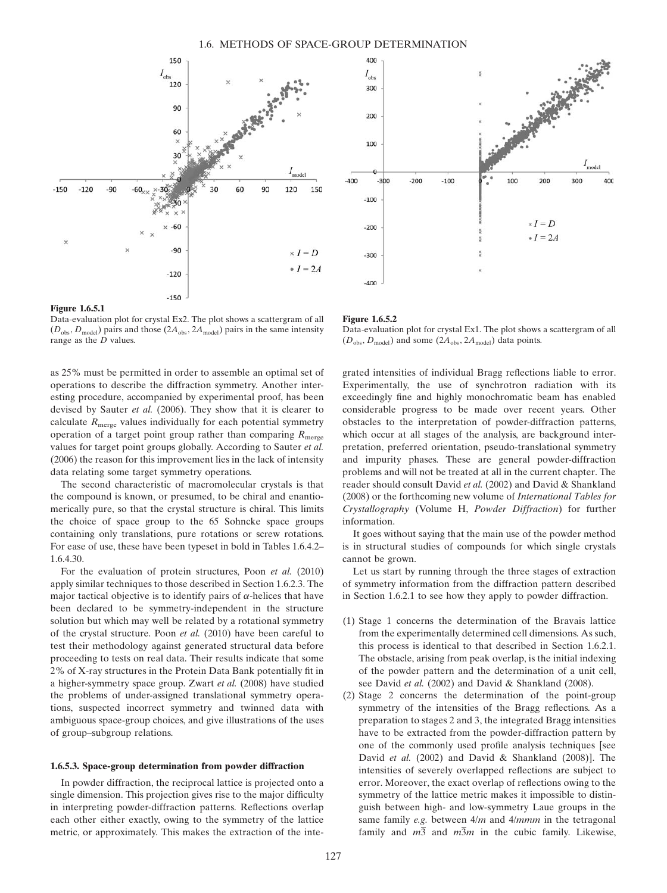

## Figure 1.6.5.1

Data-evaluation plot for crystal Ex2. The plot shows a scattergram of all  $(D_{obs}, D_{model})$  pairs and those  $(2A_{obs}, 2A_{model})$  pairs in the same intensity range as the D values.

as 25% must be permitted in order to assemble an optimal set of operations to describe the diffraction symmetry. Another interesting procedure, accompanied by experimental proof, has been devised by Sauter et al. (2006). They show that it is clearer to calculate  $R_{\text{merge}}$  values individually for each potential symmetry operation of a target point group rather than comparing  $R_{\text{merge}}$ values for target point groups globally. According to Sauter et al. (2006) the reason for this improvement lies in the lack of intensity data relating some target symmetry operations.

The second characteristic of macromolecular crystals is that the compound is known, or presumed, to be chiral and enantiomerically pure, so that the crystal structure is chiral. This limits the choice of space group to the 65 Sohncke space groups containing only translations, pure rotations or screw rotations. For ease of use, these have been typeset in bold in Tables 1.6.4.2– 1.6.4.30.

For the evaluation of protein structures, Poon et al. (2010) apply similar techniques to those described in Section 1.6.2.3. The major tactical objective is to identify pairs of  $\alpha$ -helices that have been declared to be symmetry-independent in the structure solution but which may well be related by a rotational symmetry of the crystal structure. Poon et al. (2010) have been careful to test their methodology against generated structural data before proceeding to tests on real data. Their results indicate that some 2% of X-ray structures in the Protein Data Bank potentially fit in a higher-symmetry space group. Zwart et al. (2008) have studied the problems of under-assigned translational symmetry operations, suspected incorrect symmetry and twinned data with ambiguous space-group choices, and give illustrations of the uses of group–subgroup relations.

### 1.6.5.3. Space-group determination from powder diffraction

In powder diffraction, the reciprocal lattice is projected onto a single dimension. This projection gives rise to the major difficulty in interpreting powder-diffraction patterns. Reflections overlap each other either exactly, owing to the symmetry of the lattice metric, or approximately. This makes the extraction of the inte-



### Figure 1.6.5.2

Data-evaluation plot for crystal Ex1. The plot shows a scattergram of all  $(D_{obs}, D_{model})$  and some  $(2A_{obs}, 2A_{model})$  data points.

grated intensities of individual Bragg reflections liable to error. Experimentally, the use of synchrotron radiation with its exceedingly fine and highly monochromatic beam has enabled considerable progress to be made over recent years. Other obstacles to the interpretation of powder-diffraction patterns, which occur at all stages of the analysis, are background interpretation, preferred orientation, pseudo-translational symmetry and impurity phases. These are general powder-diffraction problems and will not be treated at all in the current chapter. The reader should consult David et al. (2002) and David & Shankland (2008) or the forthcoming new volume of International Tables for Crystallography (Volume H, Powder Diffraction) for further information.

It goes without saying that the main use of the powder method is in structural studies of compounds for which single crystals cannot be grown.

Let us start by running through the three stages of extraction of symmetry information from the diffraction pattern described in Section 1.6.2.1 to see how they apply to powder diffraction.

- (1) Stage 1 concerns the determination of the Bravais lattice from the experimentally determined cell dimensions. As such, this process is identical to that described in Section 1.6.2.1. The obstacle, arising from peak overlap, is the initial indexing of the powder pattern and the determination of a unit cell, see David et al. (2002) and David & Shankland (2008).
- (2) Stage 2 concerns the determination of the point-group symmetry of the intensities of the Bragg reflections. As a preparation to stages 2 and 3, the integrated Bragg intensities have to be extracted from the powder-diffraction pattern by one of the commonly used profile analysis techniques [see David et al. (2002) and David & Shankland (2008)]. The intensities of severely overlapped reflections are subject to error. Moreover, the exact overlap of reflections owing to the symmetry of the lattice metric makes it impossible to distinguish between high- and low-symmetry Laue groups in the same family e.g. between  $4/m$  and  $4/mmm$  in the tetragonal family and  $m\overline{3}$  and  $m\overline{3}m$  in the cubic family. Likewise,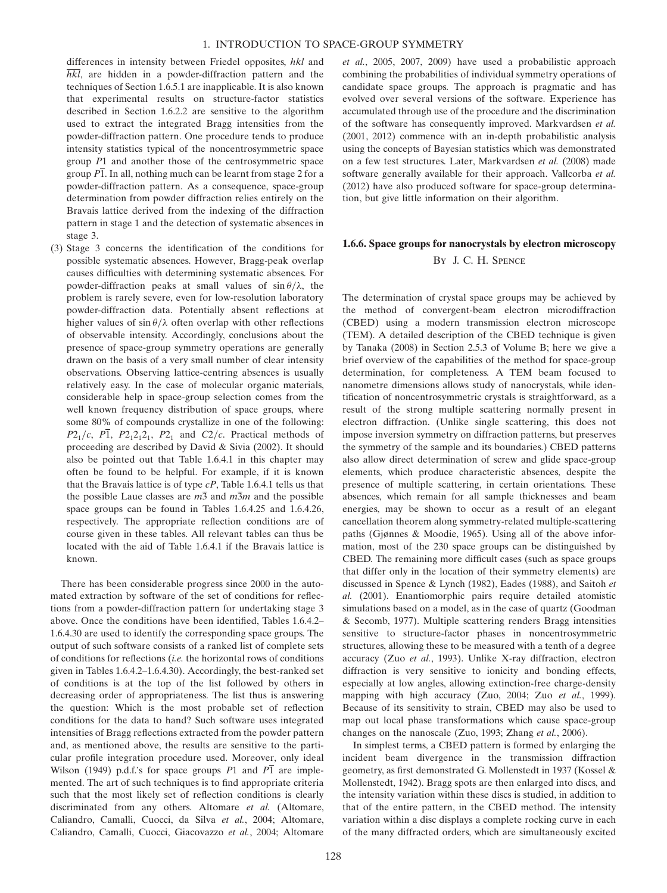differences in intensity between Friedel opposites, hkl and  $\overline{hkl}$ , are hidden in a powder-diffraction pattern and the techniques of Section 1.6.5.1 are inapplicable. It is also known that experimental results on structure-factor statistics described in Section 1.6.2.2 are sensitive to the algorithm used to extract the integrated Bragg intensities from the powder-diffraction pattern. One procedure tends to produce intensity statistics typical of the noncentrosymmetric space group P1 and another those of the centrosymmetric space group  $\overline{P1}$ . In all, nothing much can be learnt from stage 2 for a powder-diffraction pattern. As a consequence, space-group determination from powder diffraction relies entirely on the Bravais lattice derived from the indexing of the diffraction pattern in stage 1 and the detection of systematic absences in stage 3.

(3) Stage 3 concerns the identification of the conditions for possible systematic absences. However, Bragg-peak overlap causes difficulties with determining systematic absences. For powder-diffraction peaks at small values of  $\sin \theta / \lambda$ , the problem is rarely severe, even for low-resolution laboratory powder-diffraction data. Potentially absent reflections at higher values of  $\sin \theta / \lambda$  often overlap with other reflections of observable intensity. Accordingly, conclusions about the presence of space-group symmetry operations are generally drawn on the basis of a very small number of clear intensity observations. Observing lattice-centring absences is usually relatively easy. In the case of molecular organic materials, considerable help in space-group selection comes from the well known frequency distribution of space groups, where some 80% of compounds crystallize in one of the following:  $P2_1/c$ ,  $P1$ ,  $P2_12_12_1$ ,  $P2_1$  and  $C2/c$ . Practical methods of proceeding are described by David & Sivia (2002). It should also be pointed out that Table 1.6.4.1 in this chapter may often be found to be helpful. For example, if it is known that the Bravais lattice is of type  $cP$ , Table 1.6.4.1 tells us that the possible Laue classes are  $m\overline{3}$  and  $m\overline{3}m$  and the possible space groups can be found in Tables 1.6.4.25 and 1.6.4.26, respectively. The appropriate reflection conditions are of course given in these tables. All relevant tables can thus be located with the aid of Table 1.6.4.1 if the Bravais lattice is known.

There has been considerable progress since 2000 in the automated extraction by software of the set of conditions for reflections from a powder-diffraction pattern for undertaking stage 3 above. Once the conditions have been identified, Tables 1.6.4.2– 1.6.4.30 are used to identify the corresponding space groups. The output of such software consists of a ranked list of complete sets of conditions for reflections (i.e. the horizontal rows of conditions given in Tables 1.6.4.2–1.6.4.30). Accordingly, the best-ranked set of conditions is at the top of the list followed by others in decreasing order of appropriateness. The list thus is answering the question: Which is the most probable set of reflection conditions for the data to hand? Such software uses integrated intensities of Bragg reflections extracted from the powder pattern and, as mentioned above, the results are sensitive to the particular profile integration procedure used. Moreover, only ideal Wilson (1949) p.d.f.'s for space groups P1 and  $\overline{P1}$  are implemented. The art of such techniques is to find appropriate criteria such that the most likely set of reflection conditions is clearly discriminated from any others. Altomare et al. (Altomare, Caliandro, Camalli, Cuocci, da Silva et al., 2004; Altomare, Caliandro, Camalli, Cuocci, Giacovazzo et al., 2004; Altomare et al., 2005, 2007, 2009) have used a probabilistic approach combining the probabilities of individual symmetry operations of candidate space groups. The approach is pragmatic and has evolved over several versions of the software. Experience has accumulated through use of the procedure and the discrimination of the software has consequently improved. Markvardsen et al. (2001, 2012) commence with an in-depth probabilistic analysis using the concepts of Bayesian statistics which was demonstrated on a few test structures. Later, Markvardsen et al. (2008) made software generally available for their approach. Vallcorba et al. (2012) have also produced software for space-group determination, but give little information on their algorithm.

# 1.6.6. Space groups for nanocrystals by electron microscopy

# By J. C. H. Spence

The determination of crystal space groups may be achieved by the method of convergent-beam electron microdiffraction (CBED) using a modern transmission electron microscope (TEM). A detailed description of the CBED technique is given by Tanaka (2008) in Section 2.5.3 of Volume B; here we give a brief overview of the capabilities of the method for space-group determination, for completeness. A TEM beam focused to nanometre dimensions allows study of nanocrystals, while identification of noncentrosymmetric crystals is straightforward, as a result of the strong multiple scattering normally present in electron diffraction. (Unlike single scattering, this does not impose inversion symmetry on diffraction patterns, but preserves the symmetry of the sample and its boundaries.) CBED patterns also allow direct determination of screw and glide space-group elements, which produce characteristic absences, despite the presence of multiple scattering, in certain orientations. These absences, which remain for all sample thicknesses and beam energies, may be shown to occur as a result of an elegant cancellation theorem along symmetry-related multiple-scattering paths (Gjønnes & Moodie, 1965). Using all of the above information, most of the 230 space groups can be distinguished by CBED. The remaining more difficult cases (such as space groups that differ only in the location of their symmetry elements) are discussed in Spence & Lynch (1982), Eades (1988), and Saitoh et al. (2001). Enantiomorphic pairs require detailed atomistic simulations based on a model, as in the case of quartz (Goodman & Secomb, 1977). Multiple scattering renders Bragg intensities sensitive to structure-factor phases in noncentrosymmetric structures, allowing these to be measured with a tenth of a degree accuracy (Zuo et al., 1993). Unlike X-ray diffraction, electron diffraction is very sensitive to ionicity and bonding effects, especially at low angles, allowing extinction-free charge-density mapping with high accuracy (Zuo, 2004; Zuo et al., 1999). Because of its sensitivity to strain, CBED may also be used to map out local phase transformations which cause space-group changes on the nanoscale (Zuo, 1993; Zhang et al., 2006).

In simplest terms, a CBED pattern is formed by enlarging the incident beam divergence in the transmission diffraction geometry, as first demonstrated G. Mollenstedt in 1937 (Kossel & Mollenstedt, 1942). Bragg spots are then enlarged into discs, and the intensity variation within these discs is studied, in addition to that of the entire pattern, in the CBED method. The intensity variation within a disc displays a complete rocking curve in each of the many diffracted orders, which are simultaneously excited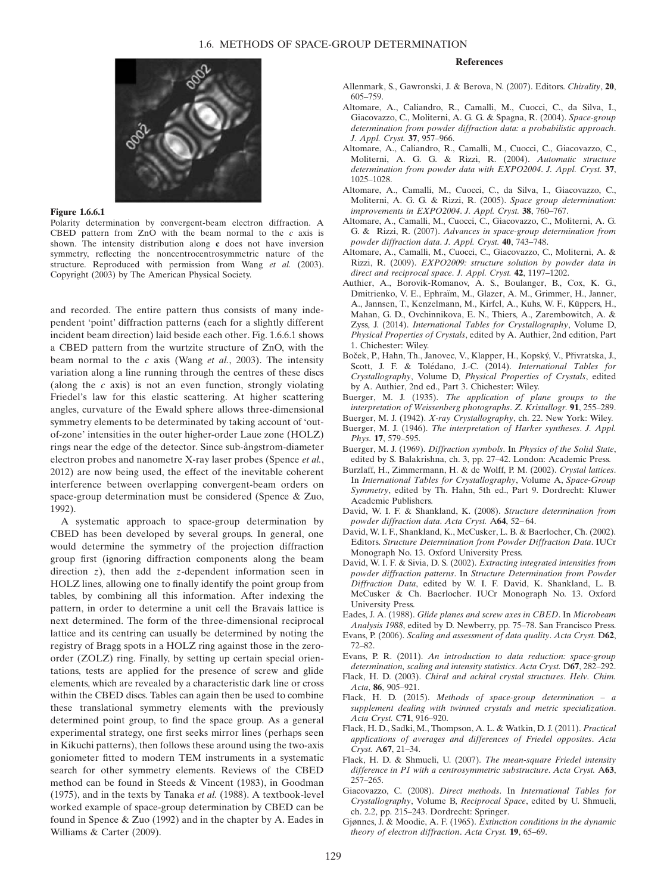

### **Figure 1661**

Polarity determination by convergent-beam electron diffraction. A CBED pattern from  $ZnO$  with the beam normal to the  $c$  axis is shown. The intensity distribution along c does not have inversion symmetry, reflecting the noncentrocentrosymmetric nature of the structure. Reproduced with permission from Wang et al. (2003). Copyright (2003) by The American Physical Society.

and recorded. The entire pattern thus consists of many independent 'point' diffraction patterns (each for a slightly different incident beam direction) laid beside each other. Fig. 1.6.6.1 shows a CBED pattern from the wurtzite structure of ZnO, with the beam normal to the c axis (Wang et al., 2003). The intensity variation along a line running through the centres of these discs (along the  $c$  axis) is not an even function, strongly violating Friedel's law for this elastic scattering. At higher scattering angles, curvature of the Ewald sphere allows three-dimensional symmetry elements to be determinated by taking account of 'outof-zone' intensities in the outer higher-order Laue zone (HOLZ) rings near the edge of the detector. Since sub-ångstrom-diameter electron probes and nanometre X-ray laser probes (Spence et al., 2012) are now being used, the effect of the inevitable coherent interference between overlapping convergent-beam orders on space-group determination must be considered (Spence & Zuo, 1992).

A systematic approach to space-group determination by CBED has been developed by several groups. In general, one would determine the symmetry of the projection diffraction group first (ignoring diffraction components along the beam direction  $z$ ), then add the  $z$ -dependent information seen in HOLZ lines, allowing one to finally identify the point group from tables, by combining all this information. After indexing the pattern, in order to determine a unit cell the Bravais lattice is next determined. The form of the three-dimensional reciprocal lattice and its centring can usually be determined by noting the registry of Bragg spots in a HOLZ ring against those in the zeroorder (ZOLZ) ring. Finally, by setting up certain special orientations, tests are applied for the presence of screw and glide elements, which are revealed by a characteristic dark line or cross within the CBED discs. Tables can again then be used to combine these translational symmetry elements with the previously determined point group, to find the space group. As a general experimental strategy, one first seeks mirror lines (perhaps seen in Kikuchi patterns), then follows these around using the two-axis goniometer fitted to modern TEM instruments in a systematic search for other symmetry elements. Reviews of the CBED method can be found in Steeds & Vincent (1983), in Goodman (1975), and in the texts by Tanaka et al. (1988). A textbook-level worked example of space-group determination by CBED can be found in Spence & Zuo (1992) and in the chapter by A. Eades in Williams & Carter (2009).

### References

- Allenmark, S., Gawronski, J. & Berova, N. (2007). Editors. Chirality, 20, 605–759.
- Altomare, A., Caliandro, R., Camalli, M., Cuocci, C., da Silva, I., Giacovazzo, C., Moliterni, A. G. G. & Spagna, R. (2004). Space-group determination from powder diffraction data: a probabilistic approach. J. Appl. Cryst. 37, 957–966.
- Altomare, A., Caliandro, R., Camalli, M., Cuocci, C., Giacovazzo, C., Moliterni, A. G. G. & Rizzi, R. (2004). Automatic structure determination from powder data with EXPO2004. J. Appl. Cryst. 37, 1025–1028.
- Altomare, A., Camalli, M., Cuocci, C., da Silva, I., Giacovazzo, C., Moliterni, A. G. G. & Rizzi, R. (2005). Space group determination: improvements in EXPO2004. J. Appl. Cryst. 38, 760–767.
- Altomare, A., Camalli, M., Cuocci, C., Giacovazzo, C., Moliterni, A. G. G. & Rizzi, R. (2007). Advances in space-group determination from powder diffraction data. J. Appl. Cryst. 40, 743-748.
- Altomare, A., Camalli, M., Cuocci, C., Giacovazzo, C., Moliterni, A. & Rizzi, R. (2009). EXPO2009: structure solution by powder data in direct and reciprocal space. J. Appl. Cryst. 42, 1197-1202.
- Authier, A., Borovik-Romanov, A. S., Boulanger, B., Cox, K. G., Dmitrienko, V. E., Ephraïm, M., Glazer, A. M., Grimmer, H., Janner, A., Jannsen, T., Kenzelmann, M., Kirfel, A., Kuhs, W. F., Küppers, H., Mahan, G. D., Ovchinnikova, E. N., Thiers, A., Zarembowitch, A. & Zyss, J. (2014). International Tables for Crystallography, Volume D, Physical Properties of Crystals, edited by A. Authier, 2nd edition, Part 1. Chichester: Wiley.
- Boček, P., Hahn, Th., Janovec, V., Klapper, H., Kopský, V., Přivratska, J., Scott, J. F. & Tolédano, J.-C. (2014). International Tables for Crystallography, Volume D, Physical Properties of Crystals, edited by A. Authier, 2nd ed., Part 3. Chichester: Wiley.
- Buerger, M. J. (1935). The application of plane groups to the interpretation of Weissenberg photographs. Z. Kristallogr. 91, 255–289.
- Buerger, M. J. (1942). X-ray Crystallography, ch. 22. New York: Wiley.
- Buerger, M. J. (1946). The interpretation of Harker syntheses. J. Appl. Phys. 17, 579–595.
- Buerger, M. J. (1969). Diffraction symbols. In Physics of the Solid State, edited by S. Balakrishna, ch. 3, pp. 27–42. London: Academic Press.
- Burzlaff, H., Zimmermann, H. & de Wolff, P. M. (2002). Crystal lattices. In International Tables for Crystallography, Volume A, Space-Group Symmetry, edited by Th. Hahn, 5th ed., Part 9. Dordrecht: Kluwer Academic Publishers.
- David, W. I. F. & Shankland, K. (2008). Structure determination from powder diffraction data. Acta Cryst. A64, 52– 64.
- David, W. I. F., Shankland, K., McCusker, L. B. & Baerlocher, Ch. (2002). Editors. Structure Determination from Powder Diffraction Data. IUCr Monograph No. 13. Oxford University Press.
- David, W. I. F. & Sivia, D. S. (2002). Extracting integrated intensities from powder diffraction patterns. In Structure Determination from Powder Diffraction Data, edited by W. I. F. David, K. Shankland, L. B. McCusker & Ch. Baerlocher. IUCr Monograph No. 13. Oxford University Press.
- Eades, J. A. (1988). Glide planes and screw axes in CBED. In Microbeam Analysis 1988, edited by D. Newberry, pp. 75–78. San Francisco Press.
- Evans, P. (2006). Scaling and assessment of data quality. Acta Cryst. D62, 72–82.
- Evans, P. R. (2011). An introduction to data reduction: space-group determination, scaling and intensity statistics. Acta Cryst. D67, 282-292.
- Flack, H. D. (2003). Chiral and achiral crystal structures. Helv. Chim. Acta, 86, 905–921.
- Flack, H. D. (2015). Methods of space-group determination a supplement dealing with twinned crystals and metric specialization. Acta Cryst. C71, 916–920.
- Flack, H. D., Sadki, M., Thompson, A. L. & Watkin, D. J. (2011). Practical applications of averages and differences of Friedel opposites. Acta Cryst. A67, 21–34.
- Flack, H. D. & Shmueli, U. (2007). The mean-square Friedel intensity difference in P1 with a centrosymmetric substructure. Acta Cryst. A63, 257–265.
- Giacovazzo, C. (2008). Direct methods. In International Tables for Crystallography, Volume B, Reciprocal Space, edited by U. Shmueli, ch. 2.2, pp. 215–243. Dordrecht: Springer.
- Gjønnes, J. & Moodie, A. F. (1965). Extinction conditions in the dynamic theory of electron diffraction. Acta Cryst. 19, 65-69.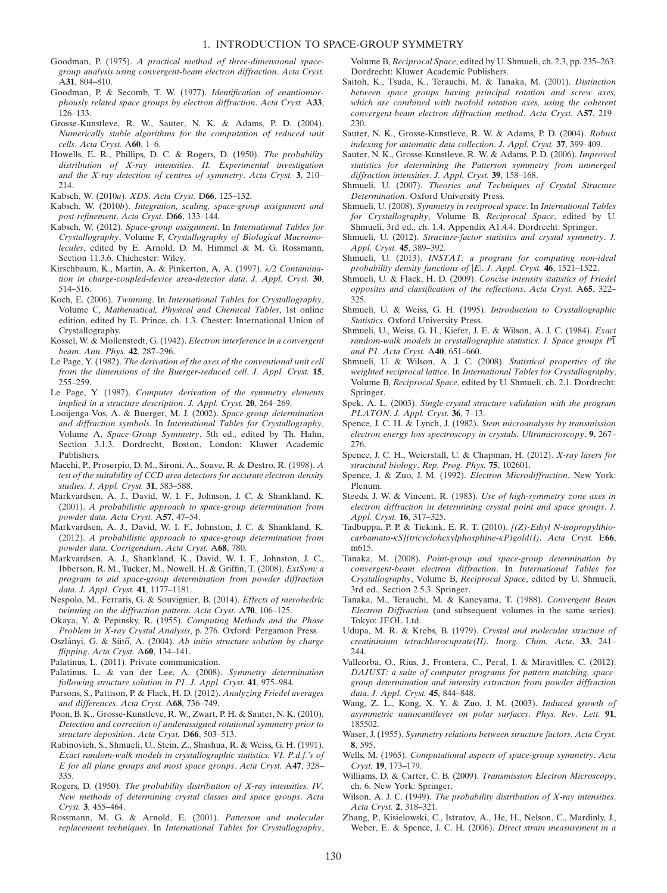- Goodman, P. (1975). A practical method of three-dimensional spacegroup analysis using convergent-beam electron diffraction. Acta Cryst. A31, 804–810.
- Goodman, P. & Secomb, T. W. (1977). Identification of enantiomorphously related space groups by electron diffraction. Acta Cryst. A33, 126–133.
- Grosse-Kunstleve, R. W., Sauter, N. K. & Adams, P. D. (2004). Numerically stable algorithms for the computation of reduced unit cells. Acta Cryst. A60, 1–6.
- Howells, E. R., Phillips, D. C. & Rogers, D. (1950). The probability distribution of X-ray intensities. II. Experimental investigation and the X-ray detection of centres of symmetry. Acta Cryst. 3, 210– 214.

Kabsch, W. (2010a). XDS. Acta Cryst. D66, 125–132.

- Kabsch, W. (2010b). Integration, scaling, space-group assignment and post-refinement. Acta Cryst. D66, 133–144.
- Kabsch, W. (2012). Space-group assignment. In International Tables for Crystallography, Volume F, Crystallography of Biological Macromolecules, edited by E. Arnold, D. M. Himmel & M. G. Rossmann, Section 11.3.6. Chichester: Wiley.
- Kirschbaum, K., Martin, A. & Pinkerton, A. A. (1997).  $\lambda/2$  Contamination in charge-coupled-device area-detector data. J. Appl. Cryst. 30, 514–516.
- Koch, E. (2006). Twinning. In International Tables for Crystallography, Volume C, Mathematical, Physical and Chemical Tables, 1st online edition, edited by E. Prince, ch. 1.3. Chester: International Union of Crystallography.
- Kossel, W. & Mollenstedt, G. (1942). Electron interference in a convergent beam. Ann. Phys. 42, 287–296.
- Le Page, Y. (1982). The derivation of the axes of the conventional unit cell from the dimensions of the Buerger-reduced cell. J. Appl. Cryst. 15, 255–259.
- Le Page, Y. (1987). Computer derivation of the symmetry elements implied in a structure description. J. Appl. Cryst. 20, 264–269.
- Looijenga-Vos, A. & Buerger, M. J. (2002). Space-group determination and diffraction symbols. In International Tables for Crystallography, Volume A, Space-Group Symmetry, 5th ed., edited by Th. Hahn, Section 3.1.3. Dordrecht, Boston, London: Kluwer Academic Publishers.
- Macchi, P., Proserpio, D. M., Sironi, A., Soave, R. & Destro, R. (1998). A test of the suitability of CCD area detectors for accurate electron-density studies. J. Appl. Cryst. 31, 583–588.
- Markvardsen, A. J., David, W. I. F., Johnson, J. C. & Shankland, K. (2001). A probabilistic approach to space-group determination from powder data. Acta Cryst. A57, 47–54.
- Markvardsen, A. J., David, W. I. F., Johnston, J. C. & Shankland, K. (2012). A probabilistic approach to space-group determination from powder data. Corrigendum. Acta Cryst. A68, 780.
- Markvardsen, A. J., Shankland, K., David, W. I. F., Johnston, J. C., Ibberson, R. M., Tucker, M., Nowell, H. & Griffin, T. (2008). ExtSym: a program to aid space-group determination from powder diffraction data. J. Appl. Cryst. 41, 1177–1181.
- Nespolo, M., Ferraris, G. & Souvignier, B. (2014). Effects of merohedric twinning on the diffraction pattern. Acta Cryst. A70, 106–125.
- Okaya, Y. & Pepinsky, R. (1955). Computing Methods and the Phase Problem in X-ray Crystal Analysis, p. 276. Oxford: Pergamon Press.
- Oszlányi, G. & Sütő, A. (2004). Ab initio structure solution by charge flipping. Acta Cryst. A60, 134-141.

Palatinus, L. (2011). Private communication.

- Palatinus, L. & van der Lee, A. (2008). Symmetry determination following structure solution in P1. J. Appl. Cryst. 41, 975–984.
- Parsons, S., Pattison, P. & Flack, H. D. (2012). Analyzing Friedel averages and differences. Acta Cryst. A68, 736–749.
- Poon, B. K., Grosse-Kunstleve, R. W., Zwart, P. H. & Sauter, N. K. (2010). Detection and correction of underassigned rotational symmetry prior to structure deposition. Acta Cryst. D66, 503–513.
- Rabinovich, S., Shmueli, U., Stein, Z., Shashua, R. & Weiss, G. H. (1991). Exact random-walk models in crystallographic statistics. VI. P.d.f.'s of E for all plane groups and most space groups. Acta Cryst. A47, 328– 335.
- Rogers, D. (1950). The probability distribution of X-ray intensities. IV. New methods of determining crystal classes and space groups. Acta Cryst. 3, 455–464.
- Rossmann, M. G. & Arnold, E. (2001). Patterson and molecular replacement techniques. In International Tables for Crystallography,

Volume B, Reciprocal Space, edited by U. Shmueli, ch. 2.3, pp. 235–263. Dordrecht: Kluwer Academic Publishers.

- Saitoh, K., Tsuda, K., Terauchi, M. & Tanaka, M. (2001). Distinction between space groups having principal rotation and screw axes, which are combined with twofold rotation axes, using the coherent convergent-beam electron diffraction method. Acta Cryst. A57, 219– 230.
- Sauter, N. K., Grosse-Kunstleve, R. W. & Adams, P. D. (2004). Robust indexing for automatic data collection. J. Appl. Cryst. 37, 399–409.
- Sauter, N. K., Grosse-Kunstleve, R. W. & Adams, P. D. (2006). Improved statistics for determining the Patterson symmetry from unmerged diffraction intensities. J. Appl. Cryst. 39, 158-168.
- Shmueli, U. (2007). Theories and Techniques of Crystal Structure Determination. Oxford University Press.
- Shmueli, U. (2008). Symmetry in reciprocal space. In International Tables for Crystallography, Volume B, Reciprocal Space, edited by U. Shmueli, 3rd ed., ch. 1.4, Appendix A1.4.4. Dordrecht: Springer.
- Shmueli, U. (2012). Structure-factor statistics and crystal symmetry. J. Appl. Cryst. 45, 389–392.
- Shmueli, U. (2013). INSTAT: a program for computing non-ideal probability density functions of  $|E|$ . J. Appl. Cryst. 46, 1521-1522.
- Shmueli, U. & Flack, H. D. (2009). Concise intensity statistics of Friedel opposites and classification of the reflections. Acta Cryst. A65, 322– 325.
- Shmueli, U. & Weiss, G. H. (1995). Introduction to Crystallographic Statistics. Oxford University Press.
- Shmueli, U., Weiss, G. H., Kiefer, J. E. & Wilson, A. J. C. (1984). Exact random-walk models in crystallographic statistics. I. Space groups  $P\overline{1}$ and P1. Acta Cryst. A40, 651–660.
- Shmueli, U. & Wilson, A. J. C. (2008). Statistical properties of the weighted reciprocal lattice. In International Tables for Crystallography, Volume B, Reciprocal Space, edited by U. Shmueli, ch. 2.1. Dordrecht: Springer.
- Spek, A. L. (2003). Single-crystal structure validation with the program PLATON. J. Appl. Cryst. 36, 7-13.
- Spence, J. C. H. & Lynch, J. (1982). Stem microanalysis by transmission electron energy loss spectroscopy in crystals. Ultramicroscopy, 9, 267– 276.
- Spence, J. C. H., Weierstall, U. & Chapman, H. (2012). X-ray lasers for structural biology. Rep. Prog. Phys. 75, 102601.
- Spence, J. & Zuo, J. M. (1992). Electron Microdiffraction. New York: Plenum.
- Steeds, J. W. & Vincent, R. (1983). Use of high-symmetry zone axes in electron diffraction in determining crystal point and space groups. J. Appl. Cryst. **16**, 317–325.
- Tadbuppa, P. P. & Tiekink, E. R. T. (2010). [(Z)-Ethyl N-isopropylthiocarbamato-KS](tricyclohexylphosphine-KP)gold(I). Acta Cryst. E66, m615.
- Tanaka, M. (2008). Point-group and space-group determination by convergent-beam electron diffraction. In International Tables for Crystallography, Volume B, Reciprocal Space, edited by U. Shmueli, 3rd ed., Section 2.5.3. Springer.
- Tanaka, M., Terauchi, M. & Kaneyama, T. (1988). Convergent Beam Electron Diffraction (and subsequent volumes in the same series). Tokyo: JEOL Ltd.
- Udupa, M. R. & Krebs, B. (1979). Crystal and molecular structure of creatininium tetrachlorocuprate(II). Inorg. Chim. Acta, 33, 241– 244.
- Vallcorba, O., Rius, J., Frontera, C., Peral, I. & Miravitlles, C. (2012). DAJUST: a suite of computer programs for pattern matching, spacegroup determination and intensity extraction from powder diffraction data. J. Appl. Cryst. 45, 844–848.
- Wang, Z. L., Kong, X. Y. & Zuo, J. M. (2003). Induced growth of asymmetric nanocantilever on polar surfaces. Phys. Rev. Lett. 91, 185502.
- Waser, J. (1955). Symmetry relations between structure factors. Acta Cryst. 8, 595.
- Wells, M. (1965). Computational aspects of space-group symmetry. Acta Cryst. 19, 173–179.
- Williams, D. & Carter, C. B. (2009). Transmission Electron Microscopy, ch. 6. New York: Springer.
- Wilson, A. J. C. (1949). The probability distribution of X-ray intensities. Acta Cryst. 2, 318–321.
- Zhang, P., Kisielowski, C., Istratov, A., He, H., Nelson, C., Mardinly, J., Weber, E. & Spence, J. C. H. (2006). Direct strain measurement in a